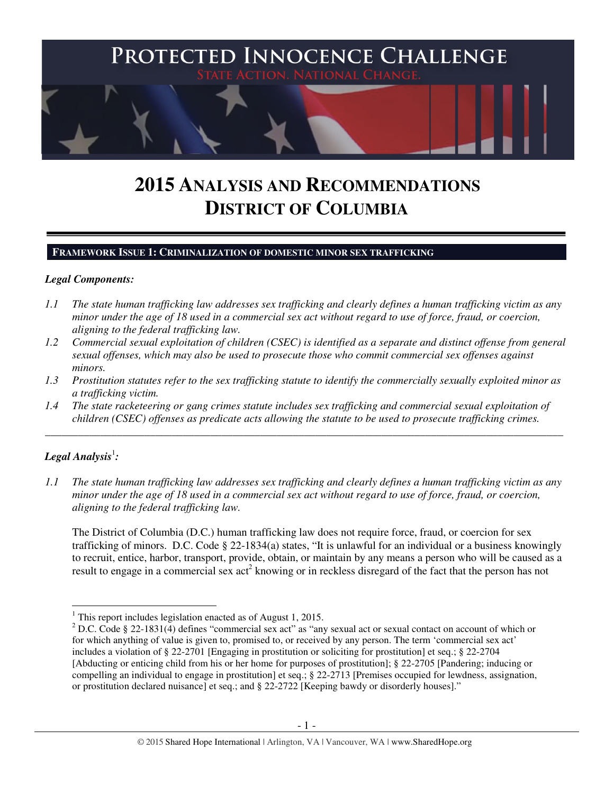

# **2015 ANALYSIS AND RECOMMENDATIONS DISTRICT OF COLUMBIA**

#### **FRAMEWORK ISSUE 1: CRIMINALIZATION OF DOMESTIC MINOR SEX TRAFFICKING**

#### *Legal Components:*

- *1.1 The state human trafficking law addresses sex trafficking and clearly defines a human trafficking victim as any minor under the age of 18 used in a commercial sex act without regard to use of force, fraud, or coercion, aligning to the federal trafficking law.*
- *1.2 Commercial sexual exploitation of children (CSEC) is identified as a separate and distinct offense from general sexual offenses, which may also be used to prosecute those who commit commercial sex offenses against minors.*
- *1.3 Prostitution statutes refer to the sex trafficking statute to identify the commercially sexually exploited minor as a trafficking victim.*

\_\_\_\_\_\_\_\_\_\_\_\_\_\_\_\_\_\_\_\_\_\_\_\_\_\_\_\_\_\_\_\_\_\_\_\_\_\_\_\_\_\_\_\_\_\_\_\_\_\_\_\_\_\_\_\_\_\_\_\_\_\_\_\_\_\_\_\_\_\_\_\_\_\_\_\_\_\_\_\_\_\_\_\_\_\_\_\_\_\_\_\_\_\_

*1.4 The state racketeering or gang crimes statute includes sex trafficking and commercial sexual exploitation of children (CSEC) offenses as predicate acts allowing the statute to be used to prosecute trafficking crimes.* 

## $\bm{\mathit{Legal\, Analysis^!}}$  :

l

*1.1 The state human trafficking law addresses sex trafficking and clearly defines a human trafficking victim as any minor under the age of 18 used in a commercial sex act without regard to use of force, fraud, or coercion, aligning to the federal trafficking law.*

The District of Columbia (D.C.) human trafficking law does not require force, fraud, or coercion for sex trafficking of minors. D.C. Code § 22-1834(a) states, "It is unlawful for an individual or a business knowingly to recruit, entice, harbor, transport, provide, obtain, or maintain by any means a person who will be caused as a result to engage in a commercial sex act<sup>2</sup> knowing or in reckless disregard of the fact that the person has not

<sup>&</sup>lt;sup>1</sup> This report includes legislation enacted as of August 1, 2015.

<sup>&</sup>lt;sup>2</sup> D.C. Code § 22-1831(4) defines "commercial sex act" as "any sexual act or sexual contact on account of which or for which anything of value is given to, promised to, or received by any person. The term 'commercial sex act' includes a violation of § 22-2701 [Engaging in prostitution or soliciting for prostitution] et seq.; § 22-2704 [Abducting or enticing child from his or her home for purposes of prostitution]; § 22-2705 [Pandering; inducing or compelling an individual to engage in prostitution] et seq.; § 22-2713 [Premises occupied for lewdness, assignation, or prostitution declared nuisance] et seq.; and § 22-2722 [Keeping bawdy or disorderly houses]."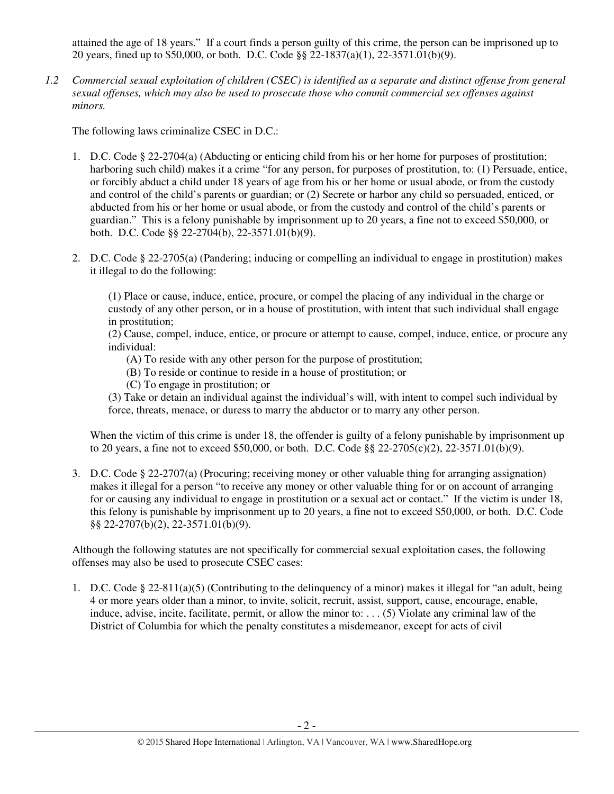attained the age of 18 years." If a court finds a person guilty of this crime, the person can be imprisoned up to 20 years, fined up to \$50,000, or both. D.C. Code §§ 22-1837(a)(1), 22-3571.01(b)(9).

*1.2 Commercial sexual exploitation of children (CSEC) is identified as a separate and distinct offense from general sexual offenses, which may also be used to prosecute those who commit commercial sex offenses against minors.*

The following laws criminalize CSEC in D.C.:

- 1. D.C. Code § 22-2704(a) (Abducting or enticing child from his or her home for purposes of prostitution; harboring such child) makes it a crime "for any person, for purposes of prostitution, to: (1) Persuade, entice, or forcibly abduct a child under 18 years of age from his or her home or usual abode, or from the custody and control of the child's parents or guardian; or (2) Secrete or harbor any child so persuaded, enticed, or abducted from his or her home or usual abode, or from the custody and control of the child's parents or guardian." This is a felony punishable by imprisonment up to 20 years, a fine not to exceed \$50,000, or both. D.C. Code §§ 22-2704(b), 22-3571.01(b)(9).
- 2. D.C. Code § 22-2705(a) (Pandering; inducing or compelling an individual to engage in prostitution) makes it illegal to do the following:

(1) Place or cause, induce, entice, procure, or compel the placing of any individual in the charge or custody of any other person, or in a house of prostitution, with intent that such individual shall engage in prostitution;

(2) Cause, compel, induce, entice, or procure or attempt to cause, compel, induce, entice, or procure any individual:

- (A) To reside with any other person for the purpose of prostitution;
- (B) To reside or continue to reside in a house of prostitution; or
- (C) To engage in prostitution; or

(3) Take or detain an individual against the individual's will, with intent to compel such individual by force, threats, menace, or duress to marry the abductor or to marry any other person.

When the victim of this crime is under 18, the offender is guilty of a felony punishable by imprisonment up to 20 years, a fine not to exceed \$50,000, or both. D.C. Code §§ 22-2705(c)(2), 22-3571.01(b)(9).

3. D.C. Code § 22-2707(a) (Procuring; receiving money or other valuable thing for arranging assignation) makes it illegal for a person "to receive any money or other valuable thing for or on account of arranging for or causing any individual to engage in prostitution or a sexual act or contact." If the victim is under 18, this felony is punishable by imprisonment up to 20 years, a fine not to exceed \$50,000, or both. D.C. Code §§ 22-2707(b)(2), 22-3571.01(b)(9).

Although the following statutes are not specifically for commercial sexual exploitation cases, the following offenses may also be used to prosecute CSEC cases:

1. D.C. Code § 22-811(a)(5) (Contributing to the delinquency of a minor) makes it illegal for "an adult, being 4 or more years older than a minor, to invite, solicit, recruit, assist, support, cause, encourage, enable, induce, advise, incite, facilitate, permit, or allow the minor to: . . . (5) Violate any criminal law of the District of Columbia for which the penalty constitutes a misdemeanor, except for acts of civil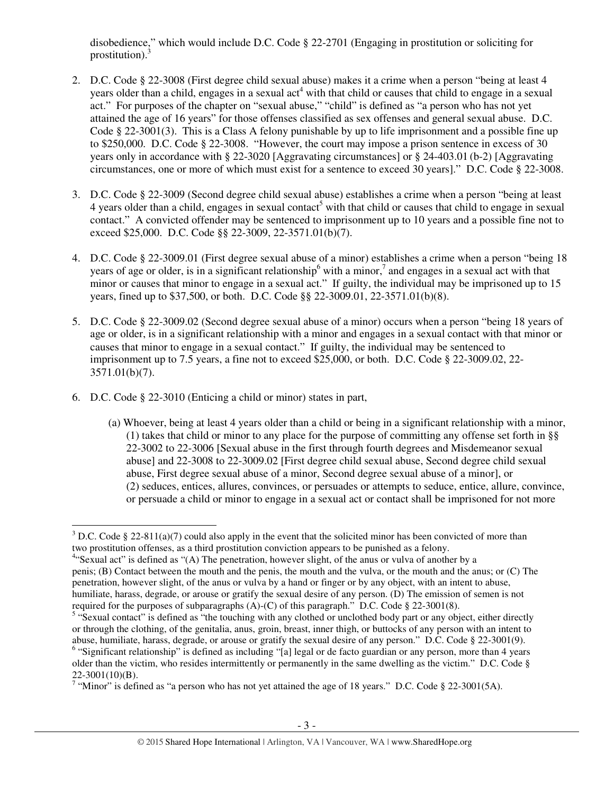disobedience," which would include D.C. Code § 22-2701 (Engaging in prostitution or soliciting for prostitution). $3$ 

- 2. D.C. Code § 22-3008 (First degree child sexual abuse) makes it a crime when a person "being at least 4 years older than a child, engages in a sexual act<sup>4</sup> with that child or causes that child to engage in a sexual act." For purposes of the chapter on "sexual abuse," "child" is defined as "a person who has not yet attained the age of 16 years" for those offenses classified as sex offenses and general sexual abuse. D.C. Code § 22-3001(3). This is a Class A felony punishable by up to life imprisonment and a possible fine up to \$250,000. D.C. Code § 22-3008. "However, the court may impose a prison sentence in excess of 30 years only in accordance with § 22-3020 [Aggravating circumstances] or § 24-403.01 (b-2) [Aggravating circumstances, one or more of which must exist for a sentence to exceed 30 years]." D.C. Code § 22-3008.
- 3. D.C. Code § 22-3009 (Second degree child sexual abuse) establishes a crime when a person "being at least  $4$  years older than a child, engages in sexual contact<sup>5</sup> with that child or causes that child to engage in sexual contact." A convicted offender may be sentenced to imprisonment up to 10 years and a possible fine not to exceed \$25,000. D.C. Code §§ 22-3009, 22-3571.01(b)(7).
- 4. D.C. Code § 22-3009.01 (First degree sexual abuse of a minor) establishes a crime when a person "being 18 years of age or older, is in a significant relationship with a minor,<sup>7</sup> and engages in a sexual act with that minor or causes that minor to engage in a sexual act." If guilty, the individual may be imprisoned up to 15 years, fined up to \$37,500, or both. D.C. Code §§ 22-3009.01, 22-3571.01(b)(8).
- 5. D.C. Code § 22-3009.02 (Second degree sexual abuse of a minor) occurs when a person "being 18 years of age or older, is in a significant relationship with a minor and engages in a sexual contact with that minor or causes that minor to engage in a sexual contact." If guilty, the individual may be sentenced to imprisonment up to 7.5 years, a fine not to exceed \$25,000, or both. D.C. Code § 22-3009.02, 22- 3571.01(b)(7).
- 6. D.C. Code § 22-3010 (Enticing a child or minor) states in part,

l

(a) Whoever, being at least 4 years older than a child or being in a significant relationship with a minor, (1) takes that child or minor to any place for the purpose of committing any offense set forth in §§ 22-3002 to 22-3006 [Sexual abuse in the first through fourth degrees and Misdemeanor sexual abuse] and 22-3008 to 22-3009.02 [First degree child sexual abuse, Second degree child sexual abuse, First degree sexual abuse of a minor, Second degree sexual abuse of a minor], or (2) seduces, entices, allures, convinces, or persuades or attempts to seduce, entice, allure, convince, or persuade a child or minor to engage in a sexual act or contact shall be imprisoned for not more

<sup>&</sup>lt;sup>3</sup> D.C. Code § 22-811(a)(7) could also apply in the event that the solicited minor has been convicted of more than two prostitution offenses, as a third prostitution conviction appears to be punished as a felony.

<sup>&</sup>lt;sup>4</sup>"Sexual act" is defined as "(A) The penetration, however slight, of the anus or vulva of another by a penis; (B) Contact between the mouth and the penis, the mouth and the vulva, or the mouth and the anus; or (C) The penetration, however slight, of the anus or vulva by a hand or finger or by any object, with an intent to abuse, humiliate, harass, degrade, or arouse or gratify the sexual desire of any person. (D) The emission of semen is not required for the purposes of subparagraphs  $(A)$ - $(C)$  of this paragraph." D.C. Code § 22-3001(8).

<sup>&</sup>lt;sup>5</sup> "Sexual contact" is defined as "the touching with any clothed or unclothed body part or any object, either directly or through the clothing, of the genitalia, anus, groin, breast, inner thigh, or buttocks of any person with an intent to abuse, humiliate, harass, degrade, or arouse or gratify the sexual desire of any person." D.C. Code § 22-3001(9).

<sup>&</sup>lt;sup>6</sup> "Significant relationship" is defined as including "[a] legal or de facto guardian or any person, more than 4 years older than the victim, who resides intermittently or permanently in the same dwelling as the victim." D.C. Code § 22-3001(10)(B).

<sup>&</sup>lt;sup>7</sup> "Minor" is defined as "a person who has not yet attained the age of 18 years." D.C. Code § 22-3001(5A).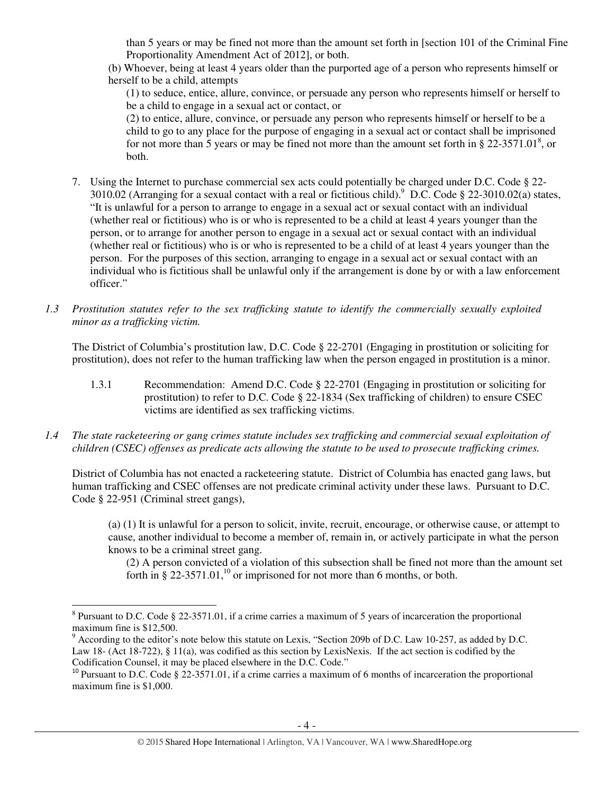than 5 years or may be fined not more than the amount set forth in [section 101 of the Criminal Fine Proportionality Amendment Act of 2012], or both.

(b) Whoever, being at least 4 years older than the purported age of a person who represents himself or herself to be a child, attempts

(1) to seduce, entice, allure, convince, or persuade any person who represents himself or herself to be a child to engage in a sexual act or contact, or

(2) to entice, allure, convince, or persuade any person who represents himself or herself to be a child to go to any place for the purpose of engaging in a sexual act or contact shall be imprisoned for not more than 5 years or may be fined not more than the amount set forth in § 22-3571.01<sup>8</sup>, or both.

- 7. Using the Internet to purchase commercial sex acts could potentially be charged under D.C. Code § 22- 3010.02 (Arranging for a sexual contact with a real or fictitious child).  $^9$  D.C. Code § 22-3010.02(a) states, "It is unlawful for a person to arrange to engage in a sexual act or sexual contact with an individual (whether real or fictitious) who is or who is represented to be a child at least 4 years younger than the person, or to arrange for another person to engage in a sexual act or sexual contact with an individual (whether real or fictitious) who is or who is represented to be a child of at least 4 years younger than the person. For the purposes of this section, arranging to engage in a sexual act or sexual contact with an individual who is fictitious shall be unlawful only if the arrangement is done by or with a law enforcement officer."
- *1.3 Prostitution statutes refer to the sex trafficking statute to identify the commercially sexually exploited minor as a trafficking victim.*

The District of Columbia's prostitution law, D.C. Code § 22-2701 (Engaging in prostitution or soliciting for prostitution), does not refer to the human trafficking law when the person engaged in prostitution is a minor.

- 1.3.1 Recommendation: Amend D.C. Code § 22-2701 (Engaging in prostitution or soliciting for prostitution) to refer to D.C. Code § 22-1834 (Sex trafficking of children) to ensure CSEC victims are identified as sex trafficking victims.
- *1.4 The state racketeering or gang crimes statute includes sex trafficking and commercial sexual exploitation of children (CSEC) offenses as predicate acts allowing the statute to be used to prosecute trafficking crimes.*

District of Columbia has not enacted a racketeering statute. District of Columbia has enacted gang laws, but human trafficking and CSEC offenses are not predicate criminal activity under these laws. Pursuant to D.C. Code § 22-951 (Criminal street gangs),

(a) (1) It is unlawful for a person to solicit, invite, recruit, encourage, or otherwise cause, or attempt to cause, another individual to become a member of, remain in, or actively participate in what the person knows to be a criminal street gang.

(2) A person convicted of a violation of this subsection shall be fined not more than the amount set forth in § 22-3571.01,<sup>10</sup> or imprisoned for not more than 6 months, or both.

 $\overline{a}$ 

 $8$  Pursuant to D.C. Code  $\S 22-3571.01$ , if a crime carries a maximum of 5 years of incarceration the proportional maximum fine is \$12,500.

 $9$  According to the editor's note below this statute on Lexis, "Section 209b of D.C. Law 10-257, as added by D.C. Law 18- (Act 18-722), § 11(a), was codified as this section by LexisNexis. If the act section is codified by the Codification Counsel, it may be placed elsewhere in the D.C. Code."

 $10$  Pursuant to D.C. Code § 22-3571.01, if a crime carries a maximum of 6 months of incarceration the proportional maximum fine is \$1,000.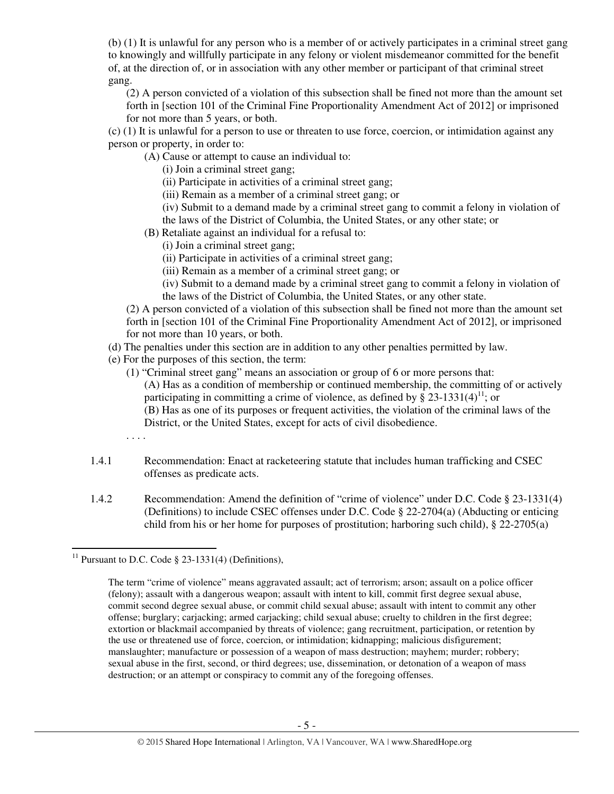(b) (1) It is unlawful for any person who is a member of or actively participates in a criminal street gang to knowingly and willfully participate in any felony or violent misdemeanor committed for the benefit of, at the direction of, or in association with any other member or participant of that criminal street gang.

(2) A person convicted of a violation of this subsection shall be fined not more than the amount set forth in [section 101 of the Criminal Fine Proportionality Amendment Act of 2012] or imprisoned for not more than 5 years, or both.

(c) (1) It is unlawful for a person to use or threaten to use force, coercion, or intimidation against any person or property, in order to:

(A) Cause or attempt to cause an individual to:

(i) Join a criminal street gang;

(ii) Participate in activities of a criminal street gang;

(iii) Remain as a member of a criminal street gang; or

(iv) Submit to a demand made by a criminal street gang to commit a felony in violation of the laws of the District of Columbia, the United States, or any other state; or

- (B) Retaliate against an individual for a refusal to:
	- (i) Join a criminal street gang;
	- (ii) Participate in activities of a criminal street gang;
	- (iii) Remain as a member of a criminal street gang; or

(iv) Submit to a demand made by a criminal street gang to commit a felony in violation of the laws of the District of Columbia, the United States, or any other state.

(2) A person convicted of a violation of this subsection shall be fined not more than the amount set forth in [section 101 of the Criminal Fine Proportionality Amendment Act of 2012], or imprisoned for not more than 10 years, or both.

- (d) The penalties under this section are in addition to any other penalties permitted by law.
- (e) For the purposes of this section, the term:
	- (1) "Criminal street gang" means an association or group of 6 or more persons that: (A) Has as a condition of membership or continued membership, the committing of or actively participating in committing a crime of violence, as defined by § 23-1331(4)<sup>11</sup>; or (B) Has as one of its purposes or frequent activities, the violation of the criminal laws of the District, or the United States, except for acts of civil disobedience.
	- . . . .

 $\overline{a}$ 

- 1.4.1 Recommendation: Enact at racketeering statute that includes human trafficking and CSEC offenses as predicate acts.
- 1.4.2 Recommendation: Amend the definition of "crime of violence" under D.C. Code § 23-1331(4) (Definitions) to include CSEC offenses under D.C. Code § 22-2704(a) (Abducting or enticing child from his or her home for purposes of prostitution; harboring such child), § 22-2705(a)

<sup>&</sup>lt;sup>11</sup> Pursuant to D.C. Code  $\S$  23-1331(4) (Definitions),

The term "crime of violence" means aggravated assault; act of terrorism; arson; assault on a police officer (felony); assault with a dangerous weapon; assault with intent to kill, commit first degree sexual abuse, commit second degree sexual abuse, or commit child sexual abuse; assault with intent to commit any other offense; burglary; carjacking; armed carjacking; child sexual abuse; cruelty to children in the first degree; extortion or blackmail accompanied by threats of violence; gang recruitment, participation, or retention by the use or threatened use of force, coercion, or intimidation; kidnapping; malicious disfigurement; manslaughter; manufacture or possession of a weapon of mass destruction; mayhem; murder; robbery; sexual abuse in the first, second, or third degrees; use, dissemination, or detonation of a weapon of mass destruction; or an attempt or conspiracy to commit any of the foregoing offenses.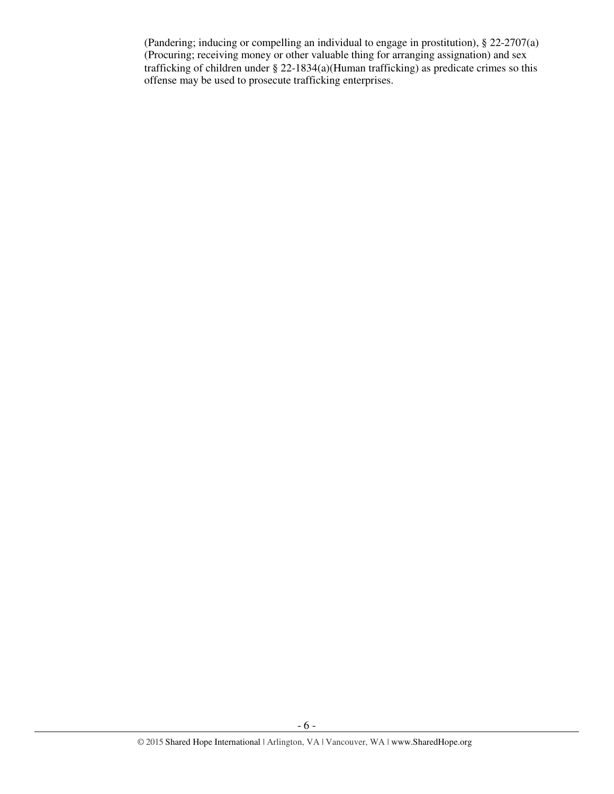(Pandering; inducing or compelling an individual to engage in prostitution), § 22-2707(a) (Procuring; receiving money or other valuable thing for arranging assignation) and sex trafficking of children under § 22-1834(a)(Human trafficking) as predicate crimes so this offense may be used to prosecute trafficking enterprises.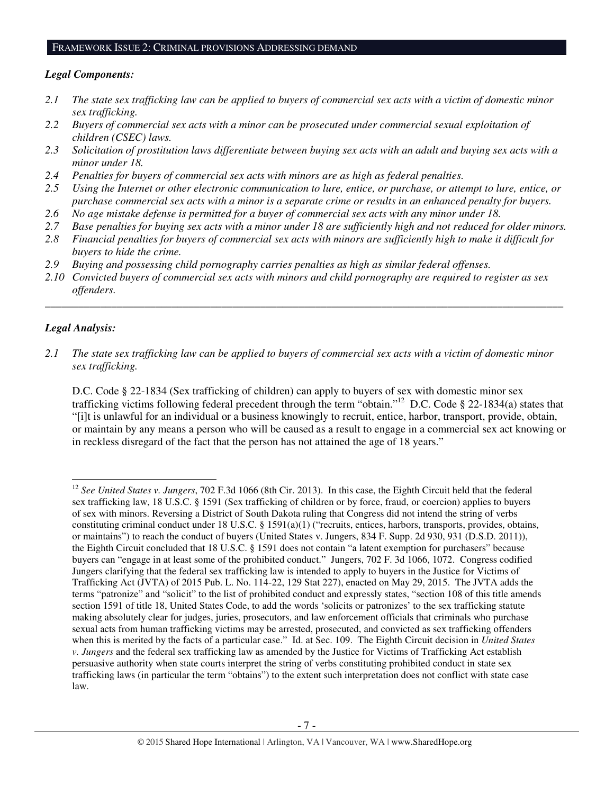#### FRAMEWORK ISSUE 2: CRIMINAL PROVISIONS ADDRESSING DEMAND

#### *Legal Components:*

- *2.1 The state sex trafficking law can be applied to buyers of commercial sex acts with a victim of domestic minor sex trafficking.*
- *2.2 Buyers of commercial sex acts with a minor can be prosecuted under commercial sexual exploitation of children (CSEC) laws.*
- *2.3 Solicitation of prostitution laws differentiate between buying sex acts with an adult and buying sex acts with a minor under 18.*
- *2.4 Penalties for buyers of commercial sex acts with minors are as high as federal penalties.*
- *2.5 Using the Internet or other electronic communication to lure, entice, or purchase, or attempt to lure, entice, or purchase commercial sex acts with a minor is a separate crime or results in an enhanced penalty for buyers.*
- *2.6 No age mistake defense is permitted for a buyer of commercial sex acts with any minor under 18.*
- *2.7 Base penalties for buying sex acts with a minor under 18 are sufficiently high and not reduced for older minors.*
- *2.8 Financial penalties for buyers of commercial sex acts with minors are sufficiently high to make it difficult for buyers to hide the crime.*
- *2.9 Buying and possessing child pornography carries penalties as high as similar federal offenses.*
- *2.10 Convicted buyers of commercial sex acts with minors and child pornography are required to register as sex offenders.*

\_\_\_\_\_\_\_\_\_\_\_\_\_\_\_\_\_\_\_\_\_\_\_\_\_\_\_\_\_\_\_\_\_\_\_\_\_\_\_\_\_\_\_\_\_\_\_\_\_\_\_\_\_\_\_\_\_\_\_\_\_\_\_\_\_\_\_\_\_\_\_\_\_\_\_\_\_\_\_\_\_\_\_\_\_\_\_\_\_\_\_\_\_\_

#### *Legal Analysis:*

l

*2.1 The state sex trafficking law can be applied to buyers of commercial sex acts with a victim of domestic minor sex trafficking.* 

D.C. Code § 22-1834 (Sex trafficking of children) can apply to buyers of sex with domestic minor sex trafficking victims following federal precedent through the term "obtain."<sup>12</sup> D.C. Code § 22-1834(a) states that "[i]t is unlawful for an individual or a business knowingly to recruit, entice, harbor, transport, provide, obtain, or maintain by any means a person who will be caused as a result to engage in a commercial sex act knowing or in reckless disregard of the fact that the person has not attained the age of 18 years."

<sup>12</sup> *See United States v. Jungers*, 702 F.3d 1066 (8th Cir. 2013). In this case, the Eighth Circuit held that the federal sex trafficking law, 18 U.S.C. § 1591 (Sex trafficking of children or by force, fraud, or coercion) applies to buyers of sex with minors. Reversing a District of South Dakota ruling that Congress did not intend the string of verbs constituting criminal conduct under 18 U.S.C. § 1591(a)(1) ("recruits, entices, harbors, transports, provides, obtains, or maintains") to reach the conduct of buyers (United States v. Jungers, 834 F. Supp. 2d 930, 931 (D.S.D. 2011)), the Eighth Circuit concluded that 18 U.S.C. § 1591 does not contain "a latent exemption for purchasers" because buyers can "engage in at least some of the prohibited conduct." Jungers, 702 F. 3d 1066, 1072. Congress codified Jungers clarifying that the federal sex trafficking law is intended to apply to buyers in the Justice for Victims of Trafficking Act (JVTA) of 2015 Pub. L. No. 114-22, 129 Stat 227), enacted on May 29, 2015. The JVTA adds the terms "patronize" and "solicit" to the list of prohibited conduct and expressly states, "section 108 of this title amends section 1591 of title 18, United States Code, to add the words 'solicits or patronizes' to the sex trafficking statute making absolutely clear for judges, juries, prosecutors, and law enforcement officials that criminals who purchase sexual acts from human trafficking victims may be arrested, prosecuted, and convicted as sex trafficking offenders when this is merited by the facts of a particular case." Id. at Sec. 109. The Eighth Circuit decision in *United States v. Jungers* and the federal sex trafficking law as amended by the Justice for Victims of Trafficking Act establish persuasive authority when state courts interpret the string of verbs constituting prohibited conduct in state sex trafficking laws (in particular the term "obtains") to the extent such interpretation does not conflict with state case law.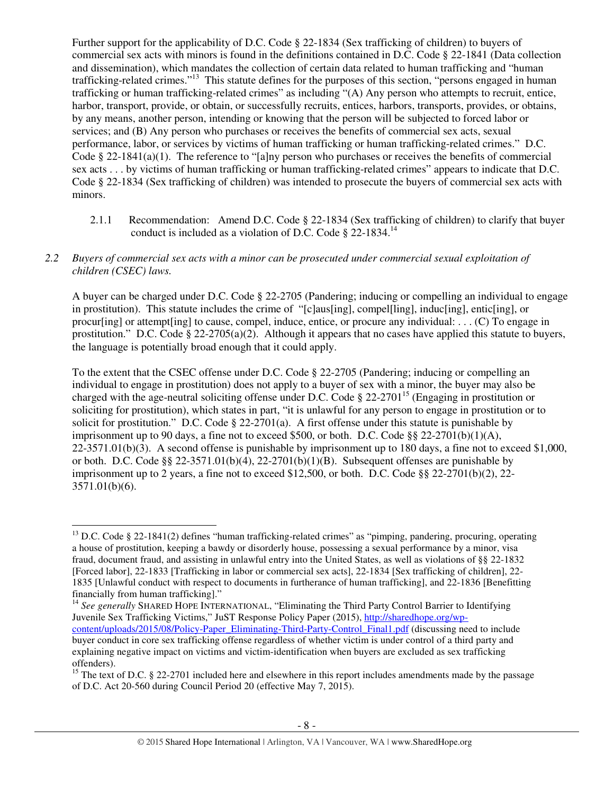Further support for the applicability of D.C. Code § 22-1834 (Sex trafficking of children) to buyers of commercial sex acts with minors is found in the definitions contained in D.C. Code § 22-1841 (Data collection and dissemination), which mandates the collection of certain data related to human trafficking and "human trafficking-related crimes."<sup>13</sup> This statute defines for the purposes of this section, "persons engaged in human trafficking or human trafficking-related crimes" as including "(A) Any person who attempts to recruit, entice, harbor, transport, provide, or obtain, or successfully recruits, entices, harbors, transports, provides, or obtains, by any means, another person, intending or knowing that the person will be subjected to forced labor or services; and (B) Any person who purchases or receives the benefits of commercial sex acts, sexual performance, labor, or services by victims of human trafficking or human trafficking-related crimes." D.C. Code § 22-1841(a)(1). The reference to "[a]ny person who purchases or receives the benefits of commercial sex acts . . . by victims of human trafficking or human trafficking-related crimes" appears to indicate that D.C. Code § 22-1834 (Sex trafficking of children) was intended to prosecute the buyers of commercial sex acts with minors.

2.1.1 Recommendation: Amend D.C. Code § 22-1834 (Sex trafficking of children) to clarify that buyer conduct is included as a violation of D.C. Code § 22-1834.<sup>14</sup>

#### *2.2 Buyers of commercial sex acts with a minor can be prosecuted under commercial sexual exploitation of children (CSEC) laws.*

A buyer can be charged under D.C. Code § 22-2705 (Pandering; inducing or compelling an individual to engage in prostitution). This statute includes the crime of "[c]aus[ing], compel[ling], induc[ing], entic[ing], or procur[ing] or attempt[ing] to cause, compel, induce, entice, or procure any individual: . . . (C) To engage in prostitution." D.C. Code § 22-2705(a)(2). Although it appears that no cases have applied this statute to buyers, the language is potentially broad enough that it could apply.

To the extent that the CSEC offense under D.C. Code § 22-2705 (Pandering; inducing or compelling an individual to engage in prostitution) does not apply to a buyer of sex with a minor, the buyer may also be charged with the age-neutral soliciting offense under D.C. Code  $\S 22-2701^{15}$  (Engaging in prostitution or soliciting for prostitution), which states in part, "it is unlawful for any person to engage in prostitution or to solicit for prostitution." D.C. Code  $\S 22-2701(a)$ . A first offense under this statute is punishable by imprisonment up to 90 days, a fine not to exceed \$500, or both. D.C. Code §§ 22-2701(b)(1)(A),  $22-3571.01(b)(3)$ . A second offense is punishable by imprisonment up to 180 days, a fine not to exceed \$1,000, or both. D.C. Code §§ 22-3571.01(b)(4), 22-2701(b)(1)(B). Subsequent offenses are punishable by imprisonment up to 2 years, a fine not to exceed \$12,500, or both. D.C. Code  $\S$ § 22-2701(b)(2), 22-3571.01(b)(6).

 $\overline{a}$ 

<sup>14</sup> See generally SHARED HOPE INTERNATIONAL, "Eliminating the Third Party Control Barrier to Identifying Juvenile Sex Trafficking Victims," JuST Response Policy Paper (2015), http://sharedhope.org/wpcontent/uploads/2015/08/Policy-Paper\_Eliminating-Third-Party-Control\_Final1.pdf (discussing need to include buyer conduct in core sex trafficking offense regardless of whether victim is under control of a third party and explaining negative impact on victims and victim-identification when buyers are excluded as sex trafficking offenders).

<sup>&</sup>lt;sup>13</sup> D.C. Code § 22-1841(2) defines "human trafficking-related crimes" as "pimping, pandering, procuring, operating a house of prostitution, keeping a bawdy or disorderly house, possessing a sexual performance by a minor, visa fraud, document fraud, and assisting in unlawful entry into the United States, as well as violations of §§ 22-1832 [Forced labor], 22-1833 [Trafficking in labor or commercial sex acts], 22-1834 [Sex trafficking of children], 22- 1835 [Unlawful conduct with respect to documents in furtherance of human trafficking], and 22-1836 [Benefitting financially from human trafficking]."

<sup>&</sup>lt;sup>15</sup> The text of D.C. § 22-2701 included here and elsewhere in this report includes amendments made by the passage of D.C. Act 20-560 during Council Period 20 (effective May 7, 2015).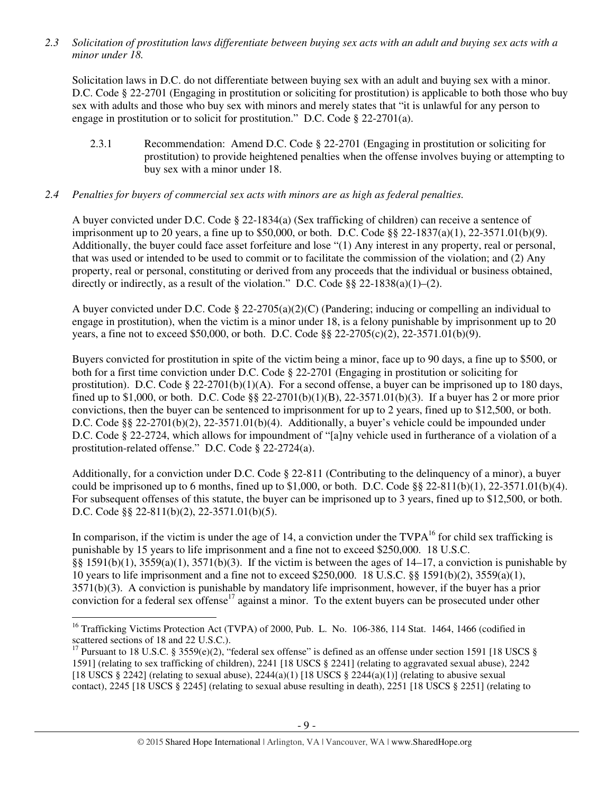*2.3 Solicitation of prostitution laws differentiate between buying sex acts with an adult and buying sex acts with a minor under 18.* 

Solicitation laws in D.C. do not differentiate between buying sex with an adult and buying sex with a minor. D.C. Code § 22-2701 (Engaging in prostitution or soliciting for prostitution) is applicable to both those who buy sex with adults and those who buy sex with minors and merely states that "it is unlawful for any person to engage in prostitution or to solicit for prostitution." D.C. Code § 22-2701(a).

2.3.1 Recommendation: Amend D.C. Code § 22-2701 (Engaging in prostitution or soliciting for prostitution) to provide heightened penalties when the offense involves buying or attempting to buy sex with a minor under 18.

## *2.4 Penalties for buyers of commercial sex acts with minors are as high as federal penalties.*

A buyer convicted under D.C. Code § 22-1834(a) (Sex trafficking of children) can receive a sentence of imprisonment up to 20 years, a fine up to \$50,000, or both. D.C. Code §§ 22-1837(a)(1), 22-3571.01(b)(9). Additionally, the buyer could face asset forfeiture and lose "(1) Any interest in any property, real or personal, that was used or intended to be used to commit or to facilitate the commission of the violation; and (2) Any property, real or personal, constituting or derived from any proceeds that the individual or business obtained, directly or indirectly, as a result of the violation." D.C. Code  $88\ 22-1838(a)(1)-(2)$ .

A buyer convicted under D.C. Code § 22-2705(a)(2)(C) (Pandering; inducing or compelling an individual to engage in prostitution), when the victim is a minor under 18, is a felony punishable by imprisonment up to 20 years, a fine not to exceed \$50,000, or both. D.C. Code §§ 22-2705(c)(2), 22-3571.01(b)(9).

Buyers convicted for prostitution in spite of the victim being a minor, face up to 90 days, a fine up to \$500, or both for a first time conviction under D.C. Code § 22-2701 (Engaging in prostitution or soliciting for prostitution). D.C. Code  $\S 22-2701(b)(1)(A)$ . For a second offense, a buyer can be imprisoned up to 180 days, fined up to \$1,000, or both. D.C. Code §§ 22-2701(b)(1)(B), 22-3571.01(b)(3). If a buyer has 2 or more prior convictions, then the buyer can be sentenced to imprisonment for up to 2 years, fined up to \$12,500, or both. D.C. Code §§ 22-2701(b)(2), 22-3571.01(b)(4). Additionally, a buyer's vehicle could be impounded under D.C. Code § 22-2724, which allows for impoundment of "[a]ny vehicle used in furtherance of a violation of a prostitution-related offense." D.C. Code § 22-2724(a).

Additionally, for a conviction under D.C. Code § 22-811 (Contributing to the delinquency of a minor), a buyer could be imprisoned up to 6 months, fined up to \$1,000, or both. D.C. Code  $\S$ § 22-811(b)(1), 22-3571.01(b)(4). For subsequent offenses of this statute, the buyer can be imprisoned up to 3 years, fined up to \$12,500, or both. D.C. Code §§ 22-811(b)(2), 22-3571.01(b)(5).

In comparison, if the victim is under the age of 14, a conviction under the  $TVPA^{16}$  for child sex trafficking is punishable by 15 years to life imprisonment and a fine not to exceed \$250,000. 18 U.S.C. §§ 1591(b)(1), 3559(a)(1), 3571(b)(3). If the victim is between the ages of 14–17, a conviction is punishable by 10 years to life imprisonment and a fine not to exceed \$250,000. 18 U.S.C. §§ 1591(b)(2), 3559(a)(1), 3571(b)(3). A conviction is punishable by mandatory life imprisonment, however, if the buyer has a prior conviction for a federal sex offense<sup>17</sup> against a minor. To the extent buyers can be prosecuted under other

l

<sup>&</sup>lt;sup>16</sup> Trafficking Victims Protection Act (TVPA) of 2000, Pub. L. No. 106-386, 114 Stat. 1464, 1466 (codified in scattered sections of 18 and 22 U.S.C.).

<sup>&</sup>lt;sup>17</sup> Pursuant to 18 U.S.C. § 3559(e)(2), "federal sex offense" is defined as an offense under section 1591 [18 USCS § 1591] (relating to sex trafficking of children), 2241 [18 USCS § 2241] (relating to aggravated sexual abuse), 2242 [18 USCS § 2242] (relating to sexual abuse),  $2244(a)(1)$  [18 USCS § 2244(a)(1)] (relating to abusive sexual contact), 2245 [18 USCS § 2245] (relating to sexual abuse resulting in death), 2251 [18 USCS § 2251] (relating to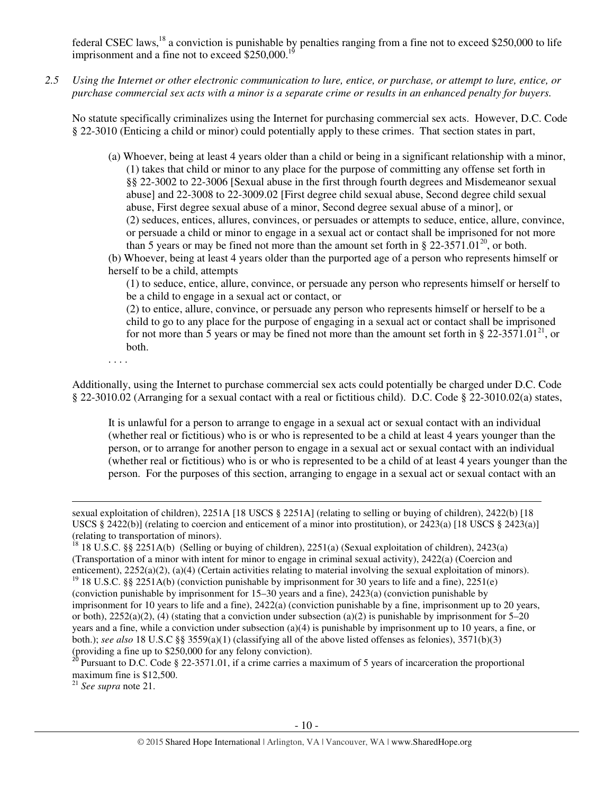federal CSEC laws,<sup>18</sup> a conviction is punishable by penalties ranging from a fine not to exceed \$250,000 to life imprisonment and a fine not to exceed  $$250,000$ .<sup>1</sup>

*2.5 Using the Internet or other electronic communication to lure, entice, or purchase, or attempt to lure, entice, or purchase commercial sex acts with a minor is a separate crime or results in an enhanced penalty for buyers.* 

No statute specifically criminalizes using the Internet for purchasing commercial sex acts. However, D.C. Code § 22-3010 (Enticing a child or minor) could potentially apply to these crimes. That section states in part,

- (a) Whoever, being at least 4 years older than a child or being in a significant relationship with a minor, (1) takes that child or minor to any place for the purpose of committing any offense set forth in §§ 22-3002 to 22-3006 [Sexual abuse in the first through fourth degrees and Misdemeanor sexual abuse] and 22-3008 to 22-3009.02 [First degree child sexual abuse, Second degree child sexual abuse, First degree sexual abuse of a minor, Second degree sexual abuse of a minor], or (2) seduces, entices, allures, convinces, or persuades or attempts to seduce, entice, allure, convince, or persuade a child or minor to engage in a sexual act or contact shall be imprisoned for not more than 5 years or may be fined not more than the amount set forth in § 22-3571.01<sup>20</sup>, or both.
- (b) Whoever, being at least 4 years older than the purported age of a person who represents himself or herself to be a child, attempts

(1) to seduce, entice, allure, convince, or persuade any person who represents himself or herself to be a child to engage in a sexual act or contact, or

(2) to entice, allure, convince, or persuade any person who represents himself or herself to be a child to go to any place for the purpose of engaging in a sexual act or contact shall be imprisoned for not more than 5 years or may be fined not more than the amount set forth in § 22-3571.01<sup>21</sup>, or both.

. . . .

 $\overline{a}$ 

Additionally, using the Internet to purchase commercial sex acts could potentially be charged under D.C. Code § 22-3010.02 (Arranging for a sexual contact with a real or fictitious child). D.C. Code § 22-3010.02(a) states,

It is unlawful for a person to arrange to engage in a sexual act or sexual contact with an individual (whether real or fictitious) who is or who is represented to be a child at least 4 years younger than the person, or to arrange for another person to engage in a sexual act or sexual contact with an individual (whether real or fictitious) who is or who is represented to be a child of at least 4 years younger than the person. For the purposes of this section, arranging to engage in a sexual act or sexual contact with an

<sup>21</sup> *See supra* note 21.

sexual exploitation of children), 2251A [18 USCS § 2251A] (relating to selling or buying of children), 2422(b) [18 USCS § 2422(b)] (relating to coercion and enticement of a minor into prostitution), or 2423(a) [18 USCS § 2423(a)] (relating to transportation of minors).

<sup>&</sup>lt;sup>18</sup> 18 U.S.C. §§ 2251A(b) (Selling or buying of children), 2251(a) (Sexual exploitation of children), 2423(a) (Transportation of a minor with intent for minor to engage in criminal sexual activity), 2422(a) (Coercion and enticement), 2252(a)(2), (a)(4) (Certain activities relating to material involving the sexual exploitation of minors). <sup>19</sup> 18 U.S.C. §§ 2251A(b) (conviction punishable by imprisonment for 30 years to life and a fine), 2251(e) (conviction punishable by imprisonment for 15–30 years and a fine), 2423(a) (conviction punishable by imprisonment for 10 years to life and a fine), 2422(a) (conviction punishable by a fine, imprisonment up to 20 years, or both),  $2252(a)(2)$ , (4) (stating that a conviction under subsection (a)(2) is punishable by imprisonment for 5–20 years and a fine, while a conviction under subsection (a)(4) is punishable by imprisonment up to 10 years, a fine, or both.); *see also* 18 U.S.C §§ 3559(a)(1) (classifying all of the above listed offenses as felonies), 3571(b)(3) (providing a fine up to \$250,000 for any felony conviction).

 $^{26}$  Pursuant to D.C. Code § 22-3571.01, if a crime carries a maximum of 5 years of incarceration the proportional maximum fine is \$12,500.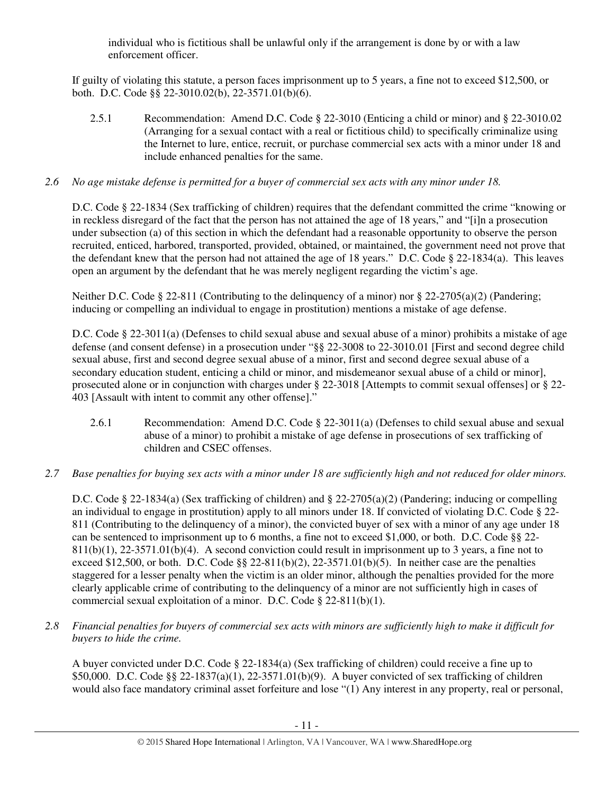individual who is fictitious shall be unlawful only if the arrangement is done by or with a law enforcement officer.

If guilty of violating this statute, a person faces imprisonment up to 5 years, a fine not to exceed \$12,500, or both. D.C. Code §§ 22-3010.02(b), 22-3571.01(b)(6).

2.5.1 Recommendation: Amend D.C. Code § 22-3010 (Enticing a child or minor) and § 22-3010.02 (Arranging for a sexual contact with a real or fictitious child) to specifically criminalize using the Internet to lure, entice, recruit, or purchase commercial sex acts with a minor under 18 and include enhanced penalties for the same.

# *2.6 No age mistake defense is permitted for a buyer of commercial sex acts with any minor under 18.*

D.C. Code § 22-1834 (Sex trafficking of children) requires that the defendant committed the crime "knowing or in reckless disregard of the fact that the person has not attained the age of 18 years," and "[i]n a prosecution under subsection (a) of this section in which the defendant had a reasonable opportunity to observe the person recruited, enticed, harbored, transported, provided, obtained, or maintained, the government need not prove that the defendant knew that the person had not attained the age of 18 years." D.C. Code § 22-1834(a). This leaves open an argument by the defendant that he was merely negligent regarding the victim's age.

Neither D.C. Code § 22-811 (Contributing to the delinquency of a minor) nor § 22-2705(a)(2) (Pandering; inducing or compelling an individual to engage in prostitution) mentions a mistake of age defense.

D.C. Code § 22-3011(a) (Defenses to child sexual abuse and sexual abuse of a minor) prohibits a mistake of age defense (and consent defense) in a prosecution under "§§ 22-3008 to 22-3010.01 [First and second degree child sexual abuse, first and second degree sexual abuse of a minor, first and second degree sexual abuse of a secondary education student, enticing a child or minor, and misdemeanor sexual abuse of a child or minor], prosecuted alone or in conjunction with charges under § 22-3018 [Attempts to commit sexual offenses] or § 22- 403 [Assault with intent to commit any other offense]."

- 2.6.1 Recommendation: Amend D.C. Code § 22-3011(a) (Defenses to child sexual abuse and sexual abuse of a minor) to prohibit a mistake of age defense in prosecutions of sex trafficking of children and CSEC offenses.
- *2.7 Base penalties for buying sex acts with a minor under 18 are sufficiently high and not reduced for older minors.*

D.C. Code § 22-1834(a) (Sex trafficking of children) and § 22-2705(a)(2) (Pandering; inducing or compelling an individual to engage in prostitution) apply to all minors under 18. If convicted of violating D.C. Code § 22- 811 (Contributing to the delinquency of a minor), the convicted buyer of sex with a minor of any age under 18 can be sentenced to imprisonment up to 6 months, a fine not to exceed \$1,000, or both. D.C. Code §§ 22-  $811(b)(1)$ ,  $22-3571.01(b)(4)$ . A second conviction could result in imprisonment up to 3 years, a fine not to exceed \$12,500, or both. D.C. Code  $\S$  22-811(b)(2), 22-3571.01(b)(5). In neither case are the penalties staggered for a lesser penalty when the victim is an older minor, although the penalties provided for the more clearly applicable crime of contributing to the delinquency of a minor are not sufficiently high in cases of commercial sexual exploitation of a minor. D.C. Code § 22-811(b)(1).

*2.8 Financial penalties for buyers of commercial sex acts with minors are sufficiently high to make it difficult for buyers to hide the crime.* 

A buyer convicted under D.C. Code § 22-1834(a) (Sex trafficking of children) could receive a fine up to \$50,000. D.C. Code §§ 22-1837(a)(1), 22-3571.01(b)(9). A buyer convicted of sex trafficking of children would also face mandatory criminal asset forfeiture and lose "(1) Any interest in any property, real or personal,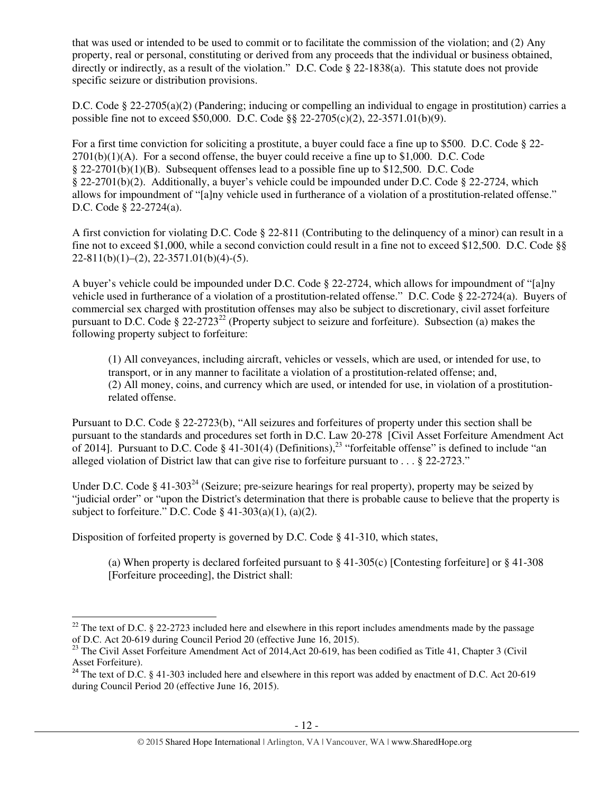that was used or intended to be used to commit or to facilitate the commission of the violation; and (2) Any property, real or personal, constituting or derived from any proceeds that the individual or business obtained, directly or indirectly, as a result of the violation." D.C. Code § 22-1838(a). This statute does not provide specific seizure or distribution provisions.

D.C. Code § 22-2705(a)(2) (Pandering; inducing or compelling an individual to engage in prostitution) carries a possible fine not to exceed \$50,000. D.C. Code §§ 22-2705(c)(2), 22-3571.01(b)(9).

For a first time conviction for soliciting a prostitute, a buyer could face a fine up to \$500. D.C. Code § 22-  $2701(b)(1)(A)$ . For a second offense, the buyer could receive a fine up to \$1,000. D.C. Code § 22-2701(b)(1)(B). Subsequent offenses lead to a possible fine up to \$12,500. D.C. Code § 22-2701(b)(2). Additionally, a buyer's vehicle could be impounded under D.C. Code § 22-2724, which allows for impoundment of "[a]ny vehicle used in furtherance of a violation of a prostitution-related offense." D.C. Code § 22-2724(a).

A first conviction for violating D.C. Code § 22-811 (Contributing to the delinquency of a minor) can result in a fine not to exceed \$1,000, while a second conviction could result in a fine not to exceed \$12,500. D.C. Code §§  $22-811(b)(1)-(2), 22-3571.01(b)(4)-(5).$ 

A buyer's vehicle could be impounded under D.C. Code § 22-2724, which allows for impoundment of "[a]ny vehicle used in furtherance of a violation of a prostitution-related offense." D.C. Code § 22-2724(a). Buyers of commercial sex charged with prostitution offenses may also be subject to discretionary, civil asset forfeiture pursuant to D.C. Code §  $22-2723^{22}$  (Property subject to seizure and forfeiture). Subsection (a) makes the following property subject to forfeiture:

(1) All conveyances, including aircraft, vehicles or vessels, which are used, or intended for use, to transport, or in any manner to facilitate a violation of a prostitution-related offense; and, (2) All money, coins, and currency which are used, or intended for use, in violation of a prostitutionrelated offense.

Pursuant to D.C. Code § 22-2723(b), "All seizures and forfeitures of property under this section shall be pursuant to the standards and procedures set forth in D.C. Law 20-278 [Civil Asset Forfeiture Amendment Act of 2014]. Pursuant to D.C. Code § 41-301(4) (Definitions),<sup>23</sup> "forfeitable offense" is defined to include "an alleged violation of District law that can give rise to forfeiture pursuant to . . . § 22-2723."

Under D.C. Code § 41-303<sup>24</sup> (Seizure; pre-seizure hearings for real property), property may be seized by "judicial order" or "upon the District's determination that there is probable cause to believe that the property is subject to forfeiture." D.C. Code  $\S$  41-303(a)(1), (a)(2).

Disposition of forfeited property is governed by D.C. Code § 41-310, which states,

 $\overline{a}$ 

(a) When property is declared forfeited pursuant to § 41-305(c) [Contesting forfeiture] or § 41-308 [Forfeiture proceeding], the District shall:

<sup>&</sup>lt;sup>22</sup> The text of D.C. § 22-2723 included here and elsewhere in this report includes amendments made by the passage of D.C. Act 20-619 during Council Period 20 (effective June 16, 2015).

 $^{23}$  The Civil Asset Forfeiture Amendment Act of 2014, Act 20-619, has been codified as Title 41, Chapter 3 (Civil Asset Forfeiture).

<sup>&</sup>lt;sup>24</sup> The text of D.C. § 41-303 included here and elsewhere in this report was added by enactment of D.C. Act 20-619 during Council Period 20 (effective June 16, 2015).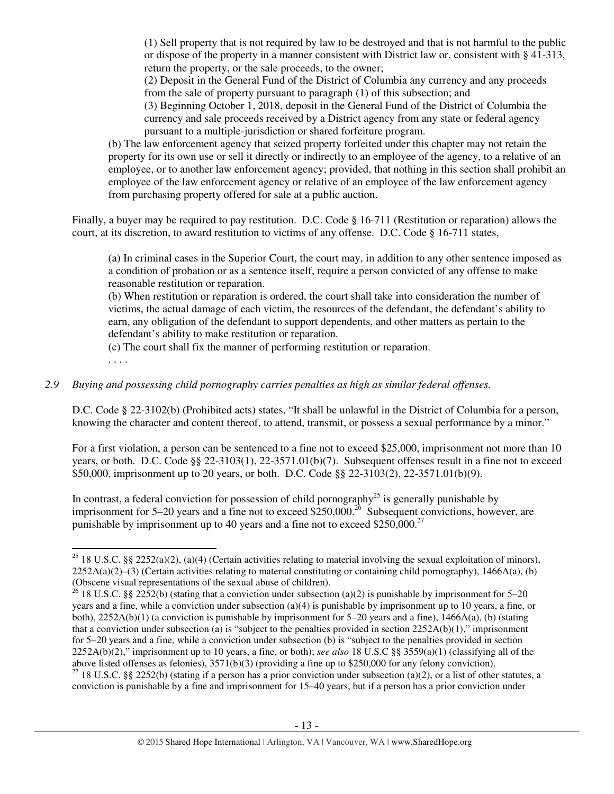(1) Sell property that is not required by law to be destroyed and that is not harmful to the public or dispose of the property in a manner consistent with District law or, consistent with § 41-313, return the property, or the sale proceeds, to the owner;

(2) Deposit in the General Fund of the District of Columbia any currency and any proceeds from the sale of property pursuant to paragraph (1) of this subsection; and

(3) Beginning October 1, 2018, deposit in the General Fund of the District of Columbia the currency and sale proceeds received by a District agency from any state or federal agency pursuant to a multiple-jurisdiction or shared forfeiture program.

(b) The law enforcement agency that seized property forfeited under this chapter may not retain the property for its own use or sell it directly or indirectly to an employee of the agency, to a relative of an employee, or to another law enforcement agency; provided, that nothing in this section shall prohibit an employee of the law enforcement agency or relative of an employee of the law enforcement agency from purchasing property offered for sale at a public auction.

Finally, a buyer may be required to pay restitution. D.C. Code § 16-711 (Restitution or reparation) allows the court, at its discretion, to award restitution to victims of any offense. D.C. Code § 16-711 states,

(a) In criminal cases in the Superior Court, the court may, in addition to any other sentence imposed as a condition of probation or as a sentence itself, require a person convicted of any offense to make reasonable restitution or reparation.

(b) When restitution or reparation is ordered, the court shall take into consideration the number of victims, the actual damage of each victim, the resources of the defendant, the defendant's ability to earn, any obligation of the defendant to support dependents, and other matters as pertain to the defendant's ability to make restitution or reparation.

(c) The court shall fix the manner of performing restitution or reparation.

. . . .

l

#### *2.9 Buying and possessing child pornography carries penalties as high as similar federal offenses.*

D.C. Code § 22-3102(b) (Prohibited acts) states, "It shall be unlawful in the District of Columbia for a person, knowing the character and content thereof, to attend, transmit, or possess a sexual performance by a minor."

For a first violation, a person can be sentenced to a fine not to exceed \$25,000, imprisonment not more than 10 years, or both. D.C. Code §§ 22-3103(1), 22-3571.01(b)(7). Subsequent offenses result in a fine not to exceed \$50,000, imprisonment up to 20 years, or both. D.C. Code §§ 22-3103(2), 22-3571.01(b)(9).

In contrast, a federal conviction for possession of child pornography<sup>25</sup> is generally punishable by imprisonment for 5–20 years and a fine not to exceed \$250,000.<sup>26</sup> Subsequent convictions, however, are punishable by imprisonment up to 40 years and a fine not to exceed \$250,000.<sup>27</sup>

<sup>&</sup>lt;sup>25</sup> 18 U.S.C. §§ 2252(a)(2), (a)(4) (Certain activities relating to material involving the sexual exploitation of minors),  $2252A(a)(2)$ –(3) (Certain activities relating to material constituting or containing child pornography), 1466A(a), (b) (Obscene visual representations of the sexual abuse of children).

<sup>&</sup>lt;sup>26</sup> 18 U.S.C. §§ 2252(b) (stating that a conviction under subsection (a)(2) is punishable by imprisonment for 5–20 years and a fine, while a conviction under subsection (a)(4) is punishable by imprisonment up to 10 years, a fine, or both), 2252A(b)(1) (a conviction is punishable by imprisonment for 5–20 years and a fine), 1466A(a), (b) (stating that a conviction under subsection (a) is "subject to the penalties provided in section 2252A(b)(1)," imprisonment for 5–20 years and a fine, while a conviction under subsection (b) is "subject to the penalties provided in section 2252A(b)(2)," imprisonment up to 10 years, a fine, or both); *see also* 18 U.S.C §§ 3559(a)(1) (classifying all of the above listed offenses as felonies), 3571(b)(3) (providing a fine up to \$250,000 for any felony conviction). <sup>27</sup> 18 U.S.C. §§ 2252(b) (stating if a person has a prior conviction under subsection (a)(2), or a list of other statutes, a conviction is punishable by a fine and imprisonment for 15–40 years, but if a person has a prior conviction under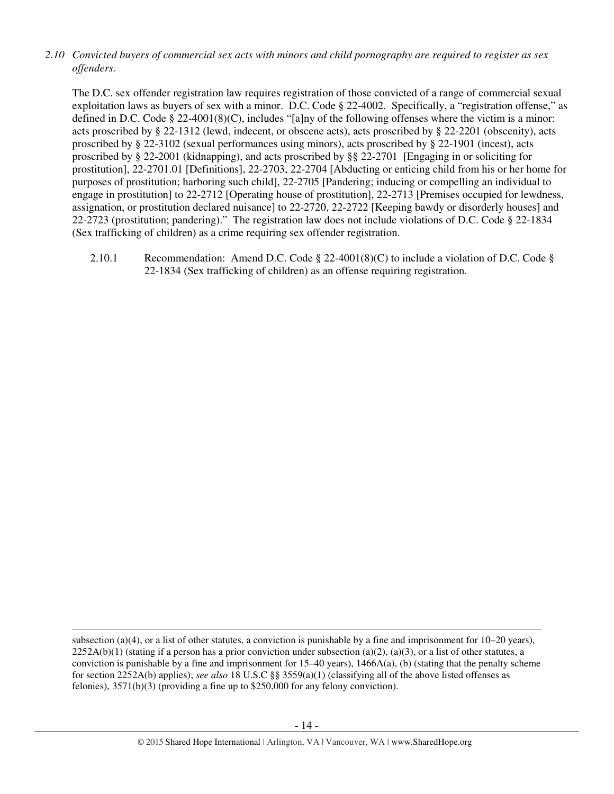## *2.10 Convicted buyers of commercial sex acts with minors and child pornography are required to register as sex offenders.*

The D.C. sex offender registration law requires registration of those convicted of a range of commercial sexual exploitation laws as buyers of sex with a minor. D.C. Code § 22-4002. Specifically, a "registration offense," as defined in D.C. Code § 22-4001(8)(C), includes "[a]ny of the following offenses where the victim is a minor: acts proscribed by § 22-1312 (lewd, indecent, or obscene acts), acts proscribed by § 22-2201 (obscenity), acts proscribed by § 22-3102 (sexual performances using minors), acts proscribed by § 22-1901 (incest), acts proscribed by § 22-2001 (kidnapping), and acts proscribed by §§ 22-2701 [Engaging in or soliciting for prostitution], 22-2701.01 [Definitions], 22-2703, 22-2704 [Abducting or enticing child from his or her home for purposes of prostitution; harboring such child], 22-2705 [Pandering; inducing or compelling an individual to engage in prostitution] to 22-2712 [Operating house of prostitution], 22-2713 [Premises occupied for lewdness, assignation, or prostitution declared nuisance] to 22-2720, 22-2722 [Keeping bawdy or disorderly houses] and 22-2723 (prostitution; pandering)." The registration law does not include violations of D.C. Code § 22-1834 (Sex trafficking of children) as a crime requiring sex offender registration.

2.10.1 Recommendation: Amend D.C. Code § 22-4001(8)(C) to include a violation of D.C. Code § 22-1834 (Sex trafficking of children) as an offense requiring registration.

l

subsection (a)(4), or a list of other statutes, a conviction is punishable by a fine and imprisonment for  $10-20$  years),  $2252A(b)(1)$  (stating if a person has a prior conviction under subsection (a)(2), (a)(3), or a list of other statutes, a conviction is punishable by a fine and imprisonment for  $15-40$  years),  $1466A(a)$ , (b) (stating that the penalty scheme for section 2252A(b) applies); *see also* 18 U.S.C §§ 3559(a)(1) (classifying all of the above listed offenses as felonies), 3571(b)(3) (providing a fine up to \$250,000 for any felony conviction).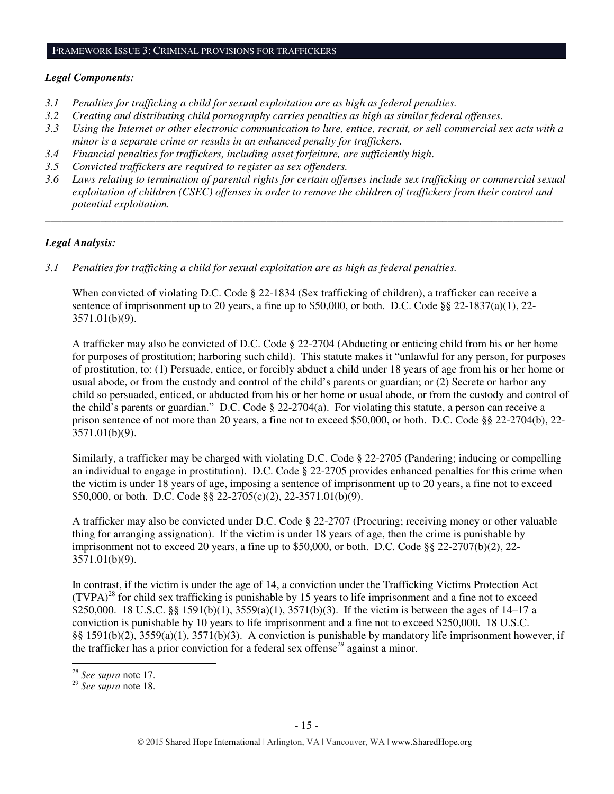#### FRAMEWORK ISSUE 3: CRIMINAL PROVISIONS FOR TRAFFICKERS

#### *Legal Components:*

- *3.1 Penalties for trafficking a child for sexual exploitation are as high as federal penalties.*
- *3.2 Creating and distributing child pornography carries penalties as high as similar federal offenses.*
- *3.3 Using the Internet or other electronic communication to lure, entice, recruit, or sell commercial sex acts with a minor is a separate crime or results in an enhanced penalty for traffickers.*
- *3.4 Financial penalties for traffickers, including asset forfeiture, are sufficiently high*.
- *3.5 Convicted traffickers are required to register as sex offenders.*
- *3.6 Laws relating to termination of parental rights for certain offenses include sex trafficking or commercial sexual exploitation of children (CSEC) offenses in order to remove the children of traffickers from their control and potential exploitation.*

*\_\_\_\_\_\_\_\_\_\_\_\_\_\_\_\_\_\_\_\_\_\_\_\_\_\_\_\_\_\_\_\_\_\_\_\_\_\_\_\_\_\_\_\_\_\_\_\_\_\_\_\_\_\_\_\_\_\_\_\_\_\_\_\_\_\_\_\_\_\_\_\_\_\_\_\_\_\_\_\_\_\_\_\_\_\_\_\_\_\_\_\_\_\_* 

## *Legal Analysis:*

*3.1 Penalties for trafficking a child for sexual exploitation are as high as federal penalties.* 

When convicted of violating D.C. Code § 22-1834 (Sex trafficking of children), a trafficker can receive a sentence of imprisonment up to 20 years, a fine up to \$50,000, or both. D.C. Code §§ 22-1837(a)(1), 22- 3571.01(b)(9).

A trafficker may also be convicted of D.C. Code § 22-2704 (Abducting or enticing child from his or her home for purposes of prostitution; harboring such child). This statute makes it "unlawful for any person, for purposes of prostitution, to: (1) Persuade, entice, or forcibly abduct a child under 18 years of age from his or her home or usual abode, or from the custody and control of the child's parents or guardian; or (2) Secrete or harbor any child so persuaded, enticed, or abducted from his or her home or usual abode, or from the custody and control of the child's parents or guardian." D.C. Code § 22-2704(a). For violating this statute, a person can receive a prison sentence of not more than 20 years, a fine not to exceed \$50,000, or both. D.C. Code §§ 22-2704(b), 22- 3571.01(b)(9).

Similarly, a trafficker may be charged with violating D.C. Code § 22-2705 (Pandering; inducing or compelling an individual to engage in prostitution). D.C. Code § 22-2705 provides enhanced penalties for this crime when the victim is under 18 years of age, imposing a sentence of imprisonment up to 20 years, a fine not to exceed \$50,000, or both. D.C. Code §§ 22-2705(c)(2), 22-3571.01(b)(9).

A trafficker may also be convicted under D.C. Code § 22-2707 (Procuring; receiving money or other valuable thing for arranging assignation). If the victim is under 18 years of age, then the crime is punishable by imprisonment not to exceed 20 years, a fine up to  $$50,000$ , or both. D.C. Code §§ 22-2707(b)(2), 22-3571.01(b)(9).

In contrast, if the victim is under the age of 14, a conviction under the Trafficking Victims Protection Act  $(TVPA)^{28}$  for child sex trafficking is punishable by 15 years to life imprisonment and a fine not to exceed \$250,000. 18 U.S.C. §§ 1591(b)(1), 3559(a)(1), 3571(b)(3). If the victim is between the ages of 14–17 a conviction is punishable by 10 years to life imprisonment and a fine not to exceed \$250,000. 18 U.S.C. §§ 1591(b)(2), 3559(a)(1), 3571(b)(3). A conviction is punishable by mandatory life imprisonment however, if the trafficker has a prior conviction for a federal sex offense<sup>29</sup> against a minor. l

<sup>28</sup> *See supra* note 17.

<sup>29</sup> *See supra* note 18.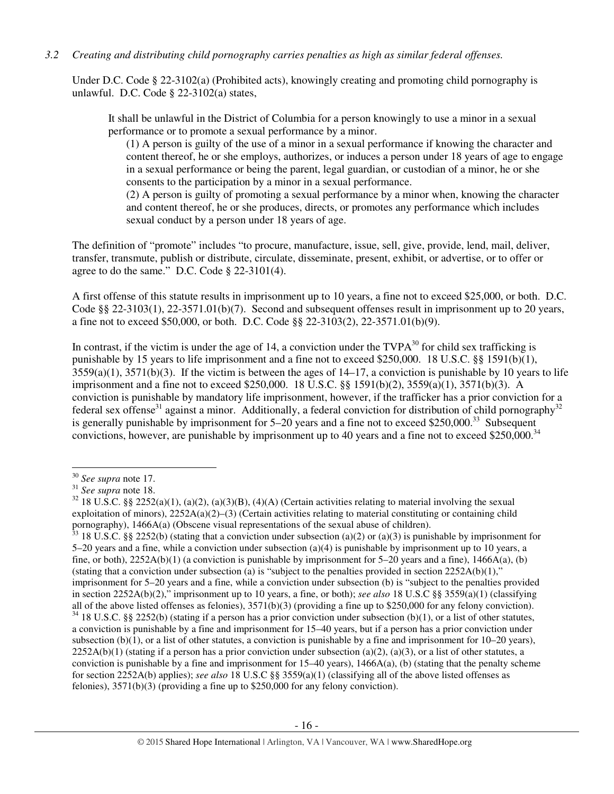#### *3.2 Creating and distributing child pornography carries penalties as high as similar federal offenses.*

Under D.C. Code § 22-3102(a) (Prohibited acts), knowingly creating and promoting child pornography is unlawful. D.C. Code § 22-3102(a) states,

It shall be unlawful in the District of Columbia for a person knowingly to use a minor in a sexual performance or to promote a sexual performance by a minor.

(1) A person is guilty of the use of a minor in a sexual performance if knowing the character and content thereof, he or she employs, authorizes, or induces a person under 18 years of age to engage in a sexual performance or being the parent, legal guardian, or custodian of a minor, he or she consents to the participation by a minor in a sexual performance.

(2) A person is guilty of promoting a sexual performance by a minor when, knowing the character and content thereof, he or she produces, directs, or promotes any performance which includes sexual conduct by a person under 18 years of age.

The definition of "promote" includes "to procure, manufacture, issue, sell, give, provide, lend, mail, deliver, transfer, transmute, publish or distribute, circulate, disseminate, present, exhibit, or advertise, or to offer or agree to do the same." D.C. Code § 22-3101(4).

A first offense of this statute results in imprisonment up to 10 years, a fine not to exceed \$25,000, or both. D.C. Code §§ 22-3103(1), 22-3571.01(b)(7). Second and subsequent offenses result in imprisonment up to 20 years, a fine not to exceed \$50,000, or both. D.C. Code §§ 22-3103(2), 22-3571.01(b)(9).

In contrast, if the victim is under the age of 14, a conviction under the  $TVPA<sup>30</sup>$  for child sex trafficking is punishable by 15 years to life imprisonment and a fine not to exceed \$250,000. 18 U.S.C. §§ 1591(b)(1),  $3559(a)(1)$ ,  $3571(b)(3)$ . If the victim is between the ages of  $14-17$ , a conviction is punishable by 10 years to life imprisonment and a fine not to exceed \$250,000. 18 U.S.C. §§ 1591(b)(2), 3559(a)(1), 3571(b)(3). A conviction is punishable by mandatory life imprisonment, however, if the trafficker has a prior conviction for a federal sex offense<sup>31</sup> against a minor. Additionally, a federal conviction for distribution of child pornography<sup>32</sup> is generally punishable by imprisonment for  $5-20$  years and a fine not to exceed \$250,000.<sup>33</sup> Subsequent convictions, however, are punishable by imprisonment up to 40 years and a fine not to exceed \$250,000.<sup>34</sup>

l

<sup>30</sup> *See supra* note 17.

<sup>31</sup> *See supra* note 18.

 $32$  18 U.S.C. §§ 2252(a)(1), (a)(2), (a)(3)(B), (4)(A) (Certain activities relating to material involving the sexual exploitation of minors), 2252A(a)(2)–(3) (Certain activities relating to material constituting or containing child pornography), 1466A(a) (Obscene visual representations of the sexual abuse of children).

 $33$  18 U.S.C. §§ 2252(b) (stating that a conviction under subsection (a)(2) or (a)(3) is punishable by imprisonment for 5–20 years and a fine, while a conviction under subsection (a)(4) is punishable by imprisonment up to 10 years, a fine, or both),  $2252A(b)(1)$  (a conviction is punishable by imprisonment for 5–20 years and a fine),  $1466A(a)$ , (b) (stating that a conviction under subsection (a) is "subject to the penalties provided in section  $2252A(b)(1)$ ," imprisonment for 5–20 years and a fine, while a conviction under subsection (b) is "subject to the penalties provided in section 2252A(b)(2)," imprisonment up to 10 years, a fine, or both); *see also* 18 U.S.C §§ 3559(a)(1) (classifying all of the above listed offenses as felonies),  $3571(b)(3)$  (providing a fine up to \$250,000 for any felony conviction).  $34$  18 U.S.C. §§ 2252(b) (stating if a person has a prior conviction under subsection (b)(1), or a list of other statutes, a conviction is punishable by a fine and imprisonment for 15–40 years, but if a person has a prior conviction under subsection (b)(1), or a list of other statutes, a conviction is punishable by a fine and imprisonment for  $10-20$  years),  $2252A(b)(1)$  (stating if a person has a prior conviction under subsection (a)(2), (a)(3), or a list of other statutes, a conviction is punishable by a fine and imprisonment for  $15-40$  years),  $1466A(a)$ , (b) (stating that the penalty scheme for section 2252A(b) applies); *see also* 18 U.S.C §§ 3559(a)(1) (classifying all of the above listed offenses as felonies), 3571(b)(3) (providing a fine up to \$250,000 for any felony conviction).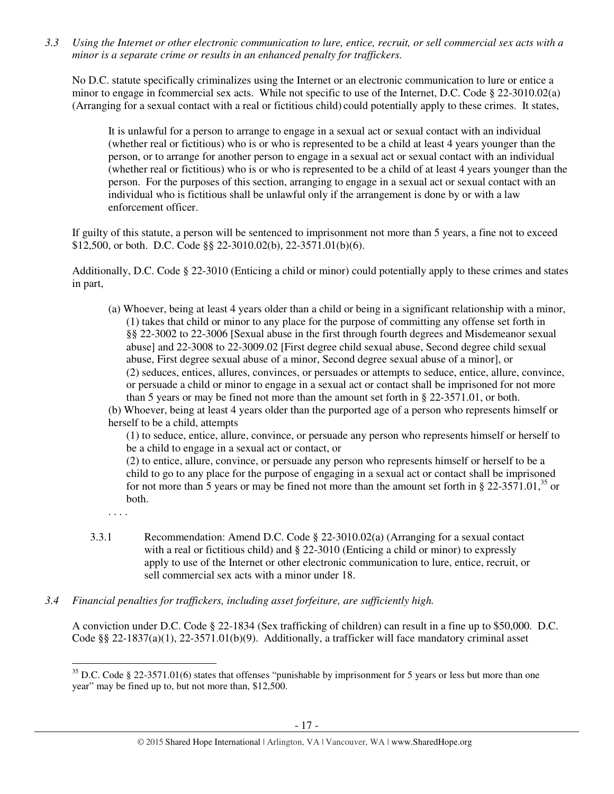*3.3 Using the Internet or other electronic communication to lure, entice, recruit, or sell commercial sex acts with a minor is a separate crime or results in an enhanced penalty for traffickers.* 

No D.C. statute specifically criminalizes using the Internet or an electronic communication to lure or entice a minor to engage in fcommercial sex acts. While not specific to use of the Internet, D.C. Code § 22-3010.02(a) (Arranging for a sexual contact with a real or fictitious child) could potentially apply to these crimes. It states,

It is unlawful for a person to arrange to engage in a sexual act or sexual contact with an individual (whether real or fictitious) who is or who is represented to be a child at least 4 years younger than the person, or to arrange for another person to engage in a sexual act or sexual contact with an individual (whether real or fictitious) who is or who is represented to be a child of at least 4 years younger than the person. For the purposes of this section, arranging to engage in a sexual act or sexual contact with an individual who is fictitious shall be unlawful only if the arrangement is done by or with a law enforcement officer.

If guilty of this statute, a person will be sentenced to imprisonment not more than 5 years, a fine not to exceed \$12,500, or both. D.C. Code §§ 22-3010.02(b), 22-3571.01(b)(6).

Additionally, D.C. Code § 22-3010 (Enticing a child or minor) could potentially apply to these crimes and states in part,

(a) Whoever, being at least 4 years older than a child or being in a significant relationship with a minor, (1) takes that child or minor to any place for the purpose of committing any offense set forth in §§ 22-3002 to 22-3006 [Sexual abuse in the first through fourth degrees and Misdemeanor sexual abuse] and 22-3008 to 22-3009.02 [First degree child sexual abuse, Second degree child sexual abuse, First degree sexual abuse of a minor, Second degree sexual abuse of a minor], or (2) seduces, entices, allures, convinces, or persuades or attempts to seduce, entice, allure, convince, or persuade a child or minor to engage in a sexual act or contact shall be imprisoned for not more than 5 years or may be fined not more than the amount set forth in § 22-3571.01, or both.

(b) Whoever, being at least 4 years older than the purported age of a person who represents himself or herself to be a child, attempts

(1) to seduce, entice, allure, convince, or persuade any person who represents himself or herself to be a child to engage in a sexual act or contact, or

(2) to entice, allure, convince, or persuade any person who represents himself or herself to be a child to go to any place for the purpose of engaging in a sexual act or contact shall be imprisoned for not more than 5 years or may be fined not more than the amount set forth in  $\S 22-3571.01$ ,<sup>35</sup> or both.

. . . .

 $\overline{a}$ 

- 3.3.1 Recommendation: Amend D.C. Code § 22-3010.02(a) (Arranging for a sexual contact with a real or fictitious child) and § 22-3010 (Enticing a child or minor) to expressly apply to use of the Internet or other electronic communication to lure, entice, recruit, or sell commercial sex acts with a minor under 18.
- *3.4 Financial penalties for traffickers, including asset forfeiture, are sufficiently high.*

A conviction under D.C. Code § 22-1834 (Sex trafficking of children) can result in a fine up to \$50,000. D.C. Code §§ 22-1837(a)(1), 22-3571.01(b)(9). Additionally, a trafficker will face mandatory criminal asset

 $35$  D.C. Code § 22-3571.01(6) states that offenses "punishable by imprisonment for 5 years or less but more than one year" may be fined up to, but not more than, \$12,500.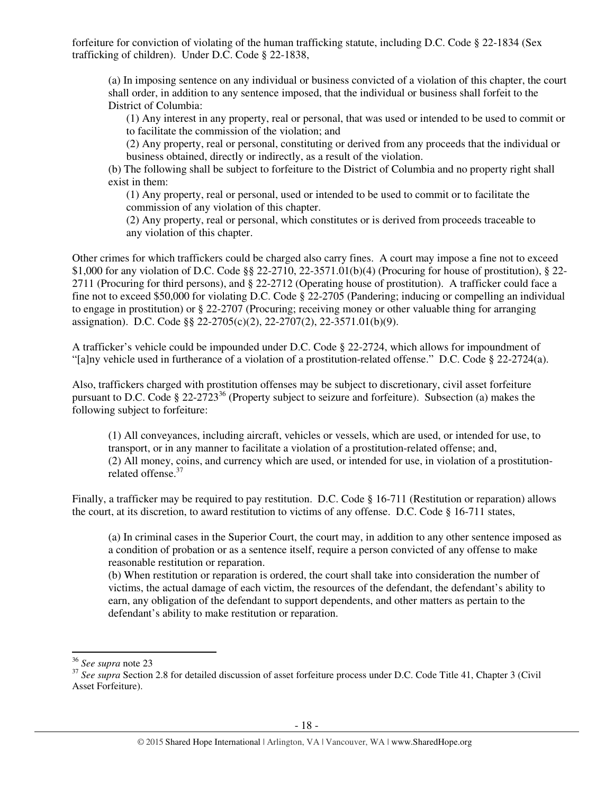forfeiture for conviction of violating of the human trafficking statute, including D.C. Code § 22-1834 (Sex trafficking of children). Under D.C. Code § 22-1838,

(a) In imposing sentence on any individual or business convicted of a violation of this chapter, the court shall order, in addition to any sentence imposed, that the individual or business shall forfeit to the District of Columbia:

(1) Any interest in any property, real or personal, that was used or intended to be used to commit or to facilitate the commission of the violation; and

(2) Any property, real or personal, constituting or derived from any proceeds that the individual or business obtained, directly or indirectly, as a result of the violation.

(b) The following shall be subject to forfeiture to the District of Columbia and no property right shall exist in them:

(1) Any property, real or personal, used or intended to be used to commit or to facilitate the commission of any violation of this chapter.

(2) Any property, real or personal, which constitutes or is derived from proceeds traceable to any violation of this chapter.

Other crimes for which traffickers could be charged also carry fines. A court may impose a fine not to exceed \$1,000 for any violation of D.C. Code §§ 22-2710, 22-3571.01(b)(4) (Procuring for house of prostitution), § 22- 2711 (Procuring for third persons), and § 22-2712 (Operating house of prostitution). A trafficker could face a fine not to exceed \$50,000 for violating D.C. Code § 22-2705 (Pandering; inducing or compelling an individual to engage in prostitution) or § 22-2707 (Procuring; receiving money or other valuable thing for arranging assignation). D.C. Code §§ 22-2705(c)(2), 22-2707(2), 22-3571.01(b)(9).

A trafficker's vehicle could be impounded under D.C. Code § 22-2724, which allows for impoundment of "[a]ny vehicle used in furtherance of a violation of a prostitution-related offense." D.C. Code § 22-2724(a).

Also, traffickers charged with prostitution offenses may be subject to discretionary, civil asset forfeiture pursuant to D.C. Code § 22-2723<sup>36</sup> (Property subject to seizure and forfeiture). Subsection (a) makes the following subject to forfeiture:

(1) All conveyances, including aircraft, vehicles or vessels, which are used, or intended for use, to transport, or in any manner to facilitate a violation of a prostitution-related offense; and, (2) All money, coins, and currency which are used, or intended for use, in violation of a prostitutionrelated offense.<sup>37</sup>

Finally, a trafficker may be required to pay restitution. D.C. Code § 16-711 (Restitution or reparation) allows the court, at its discretion, to award restitution to victims of any offense. D.C. Code § 16-711 states,

(a) In criminal cases in the Superior Court, the court may, in addition to any other sentence imposed as a condition of probation or as a sentence itself, require a person convicted of any offense to make reasonable restitution or reparation.

(b) When restitution or reparation is ordered, the court shall take into consideration the number of victims, the actual damage of each victim, the resources of the defendant, the defendant's ability to earn, any obligation of the defendant to support dependents, and other matters as pertain to the defendant's ability to make restitution or reparation.

 $\overline{a}$ 

<sup>36</sup> *See supra* note 23

<sup>&</sup>lt;sup>37</sup> See supra Section 2.8 for detailed discussion of asset forfeiture process under D.C. Code Title 41, Chapter 3 (Civil Asset Forfeiture).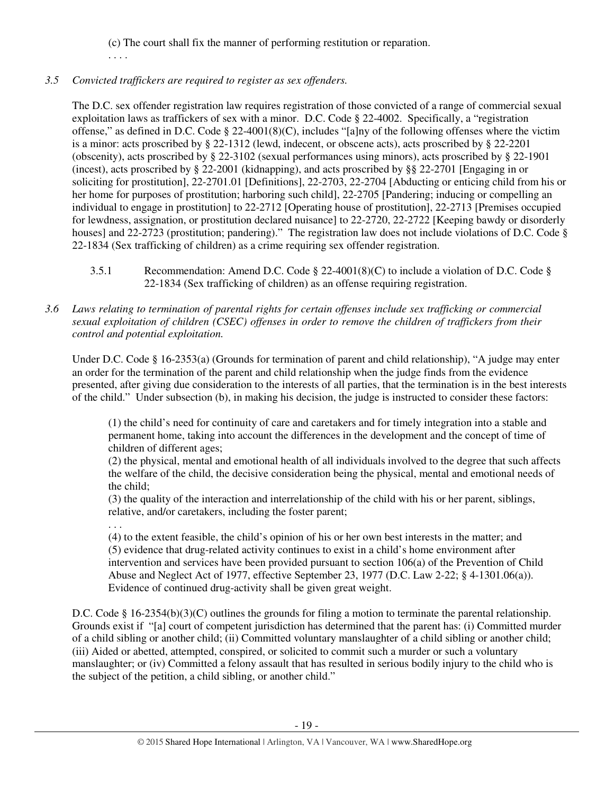(c) The court shall fix the manner of performing restitution or reparation.

. . . .

# *3.5 Convicted traffickers are required to register as sex offenders.*

The D.C. sex offender registration law requires registration of those convicted of a range of commercial sexual exploitation laws as traffickers of sex with a minor. D.C. Code § 22-4002. Specifically, a "registration offense," as defined in D.C. Code § 22-4001(8)(C), includes "[a]ny of the following offenses where the victim is a minor: acts proscribed by § 22-1312 (lewd, indecent, or obscene acts), acts proscribed by § 22-2201 (obscenity), acts proscribed by § 22-3102 (sexual performances using minors), acts proscribed by § 22-1901 (incest), acts proscribed by § 22-2001 (kidnapping), and acts proscribed by §§ 22-2701 [Engaging in or soliciting for prostitution], 22-2701.01 [Definitions], 22-2703, 22-2704 [Abducting or enticing child from his or her home for purposes of prostitution; harboring such child], 22-2705 [Pandering; inducing or compelling an individual to engage in prostitution] to 22-2712 [Operating house of prostitution], 22-2713 [Premises occupied for lewdness, assignation, or prostitution declared nuisance] to 22-2720, 22-2722 [Keeping bawdy or disorderly houses] and 22-2723 (prostitution; pandering)." The registration law does not include violations of D.C. Code § 22-1834 (Sex trafficking of children) as a crime requiring sex offender registration.

- 3.5.1 Recommendation: Amend D.C. Code § 22-4001(8)(C) to include a violation of D.C. Code § 22-1834 (Sex trafficking of children) as an offense requiring registration.
- *3.6 Laws relating to termination of parental rights for certain offenses include sex trafficking or commercial sexual exploitation of children (CSEC) offenses in order to remove the children of traffickers from their control and potential exploitation.*

Under D.C. Code § 16-2353(a) (Grounds for termination of parent and child relationship), "A judge may enter an order for the termination of the parent and child relationship when the judge finds from the evidence presented, after giving due consideration to the interests of all parties, that the termination is in the best interests of the child." Under subsection (b), in making his decision, the judge is instructed to consider these factors:

(1) the child's need for continuity of care and caretakers and for timely integration into a stable and permanent home, taking into account the differences in the development and the concept of time of children of different ages;

(2) the physical, mental and emotional health of all individuals involved to the degree that such affects the welfare of the child, the decisive consideration being the physical, mental and emotional needs of the child;

(3) the quality of the interaction and interrelationship of the child with his or her parent, siblings, relative, and/or caretakers, including the foster parent;

. . . (4) to the extent feasible, the child's opinion of his or her own best interests in the matter; and (5) evidence that drug-related activity continues to exist in a child's home environment after intervention and services have been provided pursuant to section 106(a) of the Prevention of Child Abuse and Neglect Act of 1977, effective September 23, 1977 (D.C. Law 2-22; § 4-1301.06(a)). Evidence of continued drug-activity shall be given great weight.

D.C. Code § 16-2354(b)(3)(C) outlines the grounds for filing a motion to terminate the parental relationship. Grounds exist if "[a] court of competent jurisdiction has determined that the parent has: (i) Committed murder of a child sibling or another child; (ii) Committed voluntary manslaughter of a child sibling or another child; (iii) Aided or abetted, attempted, conspired, or solicited to commit such a murder or such a voluntary manslaughter; or (iv) Committed a felony assault that has resulted in serious bodily injury to the child who is the subject of the petition, a child sibling, or another child."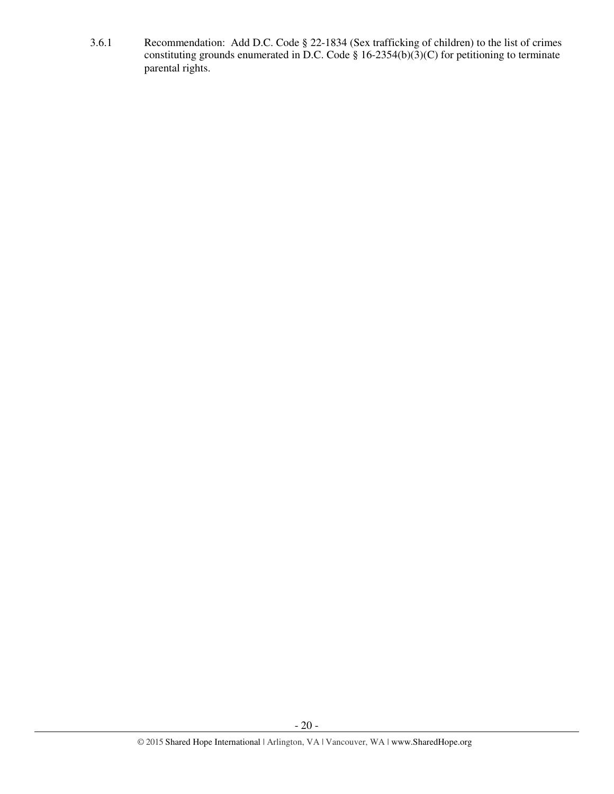3.6.1 Recommendation: Add D.C. Code § 22-1834 (Sex trafficking of children) to the list of crimes constituting grounds enumerated in D.C. Code § 16-2354(b)(3)(C) for petitioning to terminate parental rights.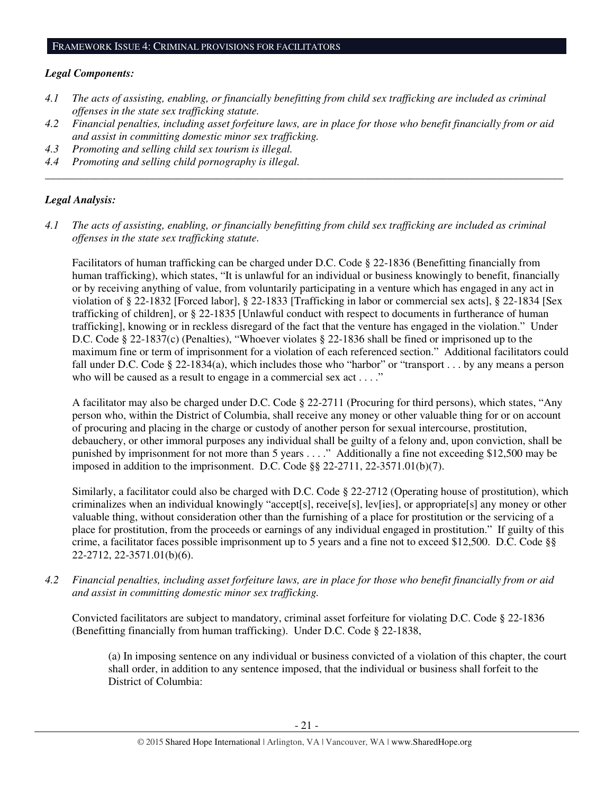#### *Legal Components:*

- *4.1 The acts of assisting, enabling, or financially benefitting from child sex trafficking are included as criminal offenses in the state sex trafficking statute.*
- *4.2 Financial penalties, including asset forfeiture laws, are in place for those who benefit financially from or aid and assist in committing domestic minor sex trafficking.*

*\_\_\_\_\_\_\_\_\_\_\_\_\_\_\_\_\_\_\_\_\_\_\_\_\_\_\_\_\_\_\_\_\_\_\_\_\_\_\_\_\_\_\_\_\_\_\_\_\_\_\_\_\_\_\_\_\_\_\_\_\_\_\_\_\_\_\_\_\_\_\_\_\_\_\_\_\_\_\_\_\_\_\_\_\_\_\_\_\_\_\_\_\_\_* 

- *4.3 Promoting and selling child sex tourism is illegal.*
- *4.4 Promoting and selling child pornography is illegal.*

## *Legal Analysis:*

*4.1 The acts of assisting, enabling, or financially benefitting from child sex trafficking are included as criminal offenses in the state sex trafficking statute.*

Facilitators of human trafficking can be charged under D.C. Code § 22-1836 (Benefitting financially from human trafficking), which states, "It is unlawful for an individual or business knowingly to benefit, financially or by receiving anything of value, from voluntarily participating in a venture which has engaged in any act in violation of § 22-1832 [Forced labor], § 22-1833 [Trafficking in labor or commercial sex acts], § 22-1834 [Sex trafficking of children], or § 22-1835 [Unlawful conduct with respect to documents in furtherance of human trafficking], knowing or in reckless disregard of the fact that the venture has engaged in the violation." Under D.C. Code § 22-1837(c) (Penalties), "Whoever violates § 22-1836 shall be fined or imprisoned up to the maximum fine or term of imprisonment for a violation of each referenced section." Additional facilitators could fall under D.C. Code § 22-1834(a), which includes those who "harbor" or "transport . . . by any means a person who will be caused as a result to engage in a commercial sex act . . . ."

A facilitator may also be charged under D.C. Code § 22-2711 (Procuring for third persons), which states, "Any person who, within the District of Columbia, shall receive any money or other valuable thing for or on account of procuring and placing in the charge or custody of another person for sexual intercourse, prostitution, debauchery, or other immoral purposes any individual shall be guilty of a felony and, upon conviction, shall be punished by imprisonment for not more than 5 years . . . ." Additionally a fine not exceeding \$12,500 may be imposed in addition to the imprisonment. D.C. Code §§ 22-2711, 22-3571.01(b)(7).

Similarly, a facilitator could also be charged with D.C. Code § 22-2712 (Operating house of prostitution), which criminalizes when an individual knowingly "accept[s], receive[s], lev[ies], or appropriate[s] any money or other valuable thing, without consideration other than the furnishing of a place for prostitution or the servicing of a place for prostitution, from the proceeds or earnings of any individual engaged in prostitution." If guilty of this crime, a facilitator faces possible imprisonment up to 5 years and a fine not to exceed \$12,500. D.C. Code §§ 22-2712, 22-3571.01(b)(6).

*4.2 Financial penalties, including asset forfeiture laws, are in place for those who benefit financially from or aid and assist in committing domestic minor sex trafficking.* 

Convicted facilitators are subject to mandatory, criminal asset forfeiture for violating D.C. Code § 22-1836 (Benefitting financially from human trafficking). Under D.C. Code § 22-1838,

(a) In imposing sentence on any individual or business convicted of a violation of this chapter, the court shall order, in addition to any sentence imposed, that the individual or business shall forfeit to the District of Columbia: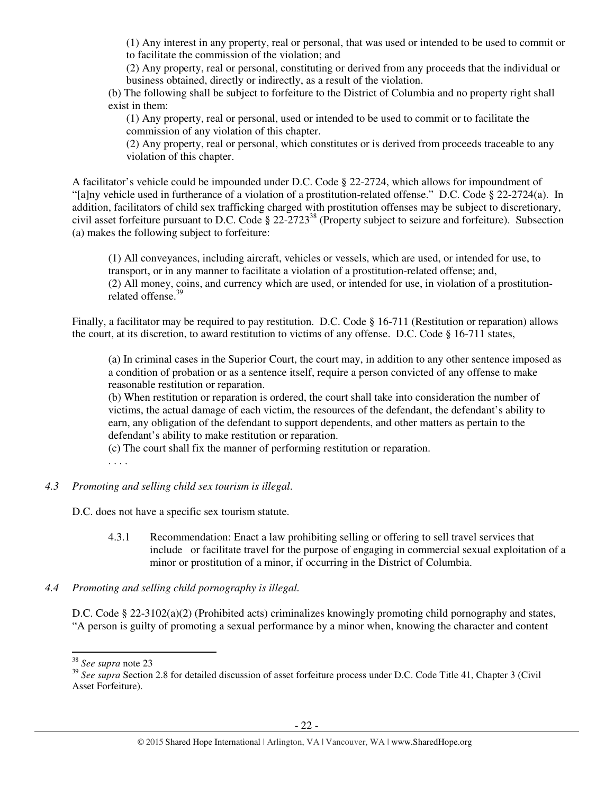(1) Any interest in any property, real or personal, that was used or intended to be used to commit or to facilitate the commission of the violation; and

(2) Any property, real or personal, constituting or derived from any proceeds that the individual or business obtained, directly or indirectly, as a result of the violation.

(b) The following shall be subject to forfeiture to the District of Columbia and no property right shall exist in them:

(1) Any property, real or personal, used or intended to be used to commit or to facilitate the commission of any violation of this chapter.

(2) Any property, real or personal, which constitutes or is derived from proceeds traceable to any violation of this chapter.

A facilitator's vehicle could be impounded under D.C. Code § 22-2724, which allows for impoundment of "[a]ny vehicle used in furtherance of a violation of a prostitution-related offense." D.C. Code § 22-2724(a). In addition, facilitators of child sex trafficking charged with prostitution offenses may be subject to discretionary, civil asset forfeiture pursuant to D.C. Code § 22-2723<sup>38</sup> (Property subject to seizure and forfeiture). Subsection (a) makes the following subject to forfeiture:

(1) All conveyances, including aircraft, vehicles or vessels, which are used, or intended for use, to transport, or in any manner to facilitate a violation of a prostitution-related offense; and, (2) All money, coins, and currency which are used, or intended for use, in violation of a prostitutionrelated offense.<sup>39</sup>

Finally, a facilitator may be required to pay restitution. D.C. Code § 16-711 (Restitution or reparation) allows the court, at its discretion, to award restitution to victims of any offense. D.C. Code § 16-711 states,

(a) In criminal cases in the Superior Court, the court may, in addition to any other sentence imposed as a condition of probation or as a sentence itself, require a person convicted of any offense to make reasonable restitution or reparation.

(b) When restitution or reparation is ordered, the court shall take into consideration the number of victims, the actual damage of each victim, the resources of the defendant, the defendant's ability to earn, any obligation of the defendant to support dependents, and other matters as pertain to the defendant's ability to make restitution or reparation.

(c) The court shall fix the manner of performing restitution or reparation.

. . . .

## *4.3 Promoting and selling child sex tourism is illegal*.

D.C. does not have a specific sex tourism statute.

4.3.1 Recommendation: Enact a law prohibiting selling or offering to sell travel services that include or facilitate travel for the purpose of engaging in commercial sexual exploitation of a minor or prostitution of a minor, if occurring in the District of Columbia.

## *4.4 Promoting and selling child pornography is illegal.*

D.C. Code § 22-3102(a)(2) (Prohibited acts) criminalizes knowingly promoting child pornography and states, "A person is guilty of promoting a sexual performance by a minor when, knowing the character and content

 $\overline{a}$ 

<sup>38</sup> *See supra* note 23

<sup>&</sup>lt;sup>39</sup> See supra Section 2.8 for detailed discussion of asset forfeiture process under D.C. Code Title 41, Chapter 3 (Civil Asset Forfeiture).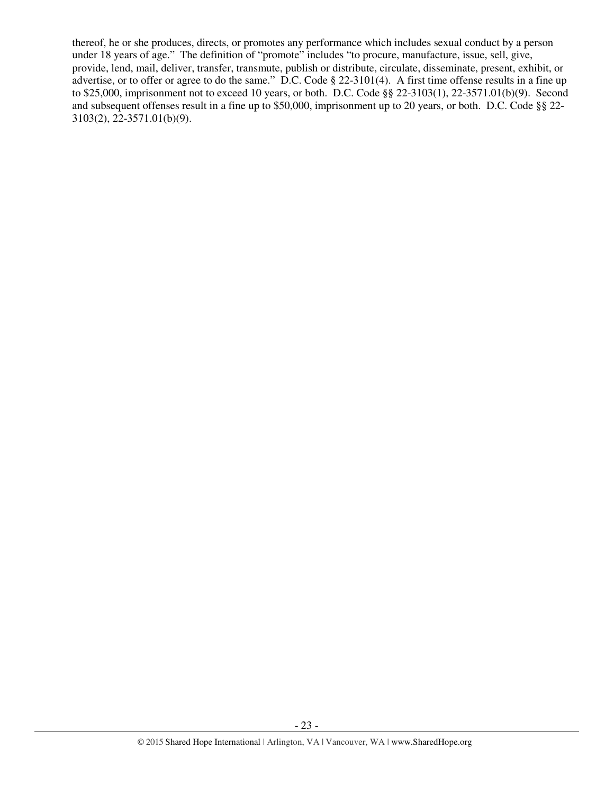thereof, he or she produces, directs, or promotes any performance which includes sexual conduct by a person under 18 years of age." The definition of "promote" includes "to procure, manufacture, issue, sell, give, provide, lend, mail, deliver, transfer, transmute, publish or distribute, circulate, disseminate, present, exhibit, or advertise, or to offer or agree to do the same." D.C. Code § 22-3101(4). A first time offense results in a fine up to \$25,000, imprisonment not to exceed 10 years, or both. D.C. Code §§ 22-3103(1), 22-3571.01(b)(9). Second and subsequent offenses result in a fine up to \$50,000, imprisonment up to 20 years, or both. D.C. Code §§ 22- 3103(2), 22-3571.01(b)(9).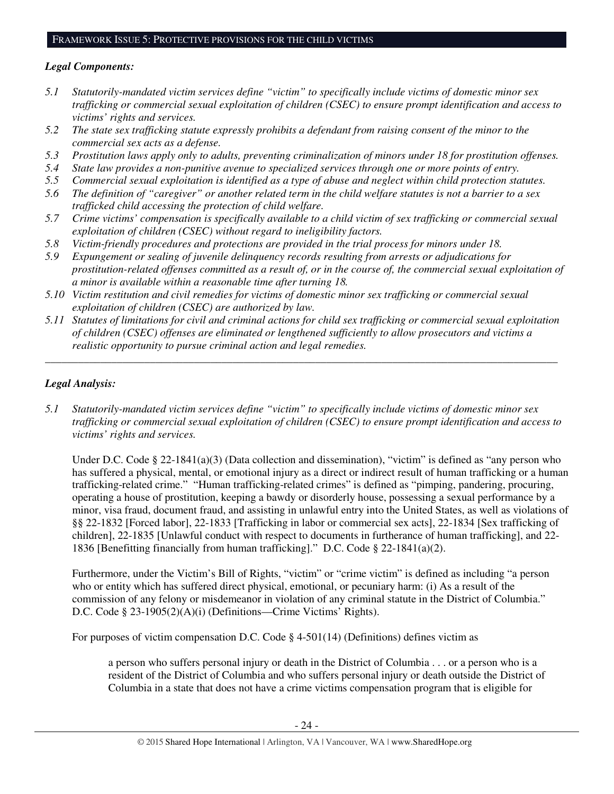#### *Legal Components:*

- *5.1 Statutorily-mandated victim services define "victim" to specifically include victims of domestic minor sex trafficking or commercial sexual exploitation of children (CSEC) to ensure prompt identification and access to victims' rights and services.*
- *5.2 The state sex trafficking statute expressly prohibits a defendant from raising consent of the minor to the commercial sex acts as a defense.*
- *5.3 Prostitution laws apply only to adults, preventing criminalization of minors under 18 for prostitution offenses.*
- *5.4 State law provides a non-punitive avenue to specialized services through one or more points of entry.*
- *5.5 Commercial sexual exploitation is identified as a type of abuse and neglect within child protection statutes.*
- *5.6 The definition of "caregiver" or another related term in the child welfare statutes is not a barrier to a sex trafficked child accessing the protection of child welfare.*
- *5.7 Crime victims' compensation is specifically available to a child victim of sex trafficking or commercial sexual exploitation of children (CSEC) without regard to ineligibility factors.*
- *5.8 Victim-friendly procedures and protections are provided in the trial process for minors under 18.*
- *5.9 Expungement or sealing of juvenile delinquency records resulting from arrests or adjudications for prostitution-related offenses committed as a result of, or in the course of, the commercial sexual exploitation of a minor is available within a reasonable time after turning 18.*
- *5.10 Victim restitution and civil remedies for victims of domestic minor sex trafficking or commercial sexual exploitation of children (CSEC) are authorized by law.*
- *5.11 Statutes of limitations for civil and criminal actions for child sex trafficking or commercial sexual exploitation of children (CSEC) offenses are eliminated or lengthened sufficiently to allow prosecutors and victims a realistic opportunity to pursue criminal action and legal remedies.*

*\_\_\_\_\_\_\_\_\_\_\_\_\_\_\_\_\_\_\_\_\_\_\_\_\_\_\_\_\_\_\_\_\_\_\_\_\_\_\_\_\_\_\_\_\_\_\_\_\_\_\_\_\_\_\_\_\_\_\_\_\_\_\_\_\_\_\_\_\_\_\_\_\_\_\_\_\_\_\_\_\_\_\_\_\_\_\_\_\_\_\_\_\_* 

# *Legal Analysis:*

*5.1 Statutorily-mandated victim services define "victim" to specifically include victims of domestic minor sex trafficking or commercial sexual exploitation of children (CSEC) to ensure prompt identification and access to victims' rights and services.* 

Under D.C. Code § 22-1841(a)(3) (Data collection and dissemination), "victim" is defined as "any person who has suffered a physical, mental, or emotional injury as a direct or indirect result of human trafficking or a human trafficking-related crime." "Human trafficking-related crimes" is defined as "pimping, pandering, procuring, operating a house of prostitution, keeping a bawdy or disorderly house, possessing a sexual performance by a minor, visa fraud, document fraud, and assisting in unlawful entry into the United States, as well as violations of §§ 22-1832 [Forced labor], 22-1833 [Trafficking in labor or commercial sex acts], 22-1834 [Sex trafficking of children], 22-1835 [Unlawful conduct with respect to documents in furtherance of human trafficking], and 22- 1836 [Benefitting financially from human trafficking]." D.C. Code § 22-1841(a)(2).

Furthermore, under the Victim's Bill of Rights, "victim" or "crime victim" is defined as including "a person who or entity which has suffered direct physical, emotional, or pecuniary harm: (i) As a result of the commission of any felony or misdemeanor in violation of any criminal statute in the District of Columbia." D.C. Code § 23-1905(2)(A)(i) (Definitions—Crime Victims' Rights).

For purposes of victim compensation D.C. Code  $\S$  4-501(14) (Definitions) defines victim as

a person who suffers personal injury or death in the District of Columbia . . . or a person who is a resident of the District of Columbia and who suffers personal injury or death outside the District of Columbia in a state that does not have a crime victims compensation program that is eligible for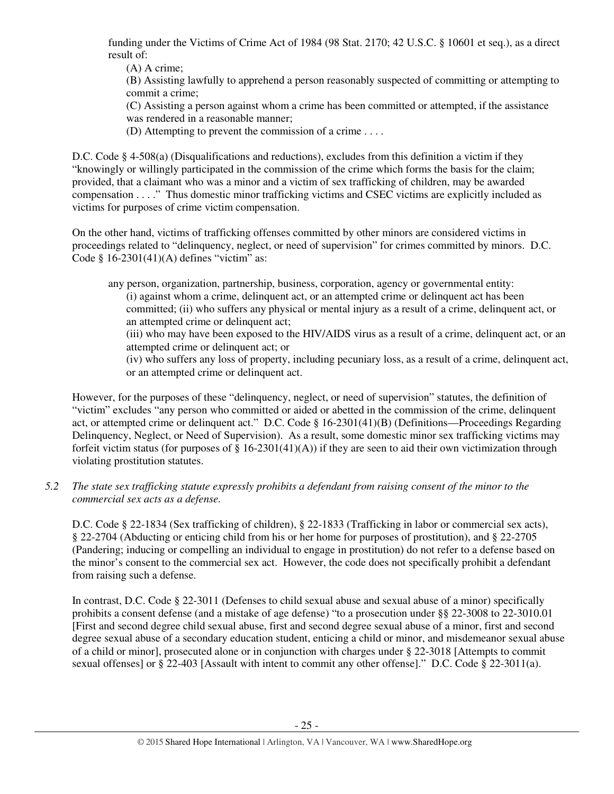funding under the Victims of Crime Act of 1984 (98 Stat. 2170; 42 U.S.C. § 10601 et seq.), as a direct result of:

(A) A crime;

(B) Assisting lawfully to apprehend a person reasonably suspected of committing or attempting to commit a crime;

(C) Assisting a person against whom a crime has been committed or attempted, if the assistance was rendered in a reasonable manner;

(D) Attempting to prevent the commission of a crime . . . .

D.C. Code  $\S$  4-508(a) (Disqualifications and reductions), excludes from this definition a victim if they "knowingly or willingly participated in the commission of the crime which forms the basis for the claim; provided, that a claimant who was a minor and a victim of sex trafficking of children, may be awarded compensation . . . ." Thus domestic minor trafficking victims and CSEC victims are explicitly included as victims for purposes of crime victim compensation.

On the other hand, victims of trafficking offenses committed by other minors are considered victims in proceedings related to "delinquency, neglect, or need of supervision" for crimes committed by minors. D.C. Code  $§$  16-2301(41)(A) defines "victim" as:

any person, organization, partnership, business, corporation, agency or governmental entity: (i) against whom a crime, delinquent act, or an attempted crime or delinquent act has been committed; (ii) who suffers any physical or mental injury as a result of a crime, delinquent act, or an attempted crime or delinquent act;

(iii) who may have been exposed to the HIV/AIDS virus as a result of a crime, delinquent act, or an attempted crime or delinquent act; or

(iv) who suffers any loss of property, including pecuniary loss, as a result of a crime, delinquent act, or an attempted crime or delinquent act.

However, for the purposes of these "delinquency, neglect, or need of supervision" statutes, the definition of "victim" excludes "any person who committed or aided or abetted in the commission of the crime, delinquent act, or attempted crime or delinquent act." D.C. Code § 16-2301(41)(B) (Definitions—Proceedings Regarding Delinquency, Neglect, or Need of Supervision). As a result, some domestic minor sex trafficking victims may forfeit victim status (for purposes of § 16-2301(41)(A)) if they are seen to aid their own victimization through violating prostitution statutes.

## *5.2 The state sex trafficking statute expressly prohibits a defendant from raising consent of the minor to the commercial sex acts as a defense.*

D.C. Code § 22-1834 (Sex trafficking of children), § 22-1833 (Trafficking in labor or commercial sex acts), § 22-2704 (Abducting or enticing child from his or her home for purposes of prostitution), and § 22-2705 (Pandering; inducing or compelling an individual to engage in prostitution) do not refer to a defense based on the minor's consent to the commercial sex act. However, the code does not specifically prohibit a defendant from raising such a defense.

In contrast, D.C. Code § 22-3011 (Defenses to child sexual abuse and sexual abuse of a minor) specifically prohibits a consent defense (and a mistake of age defense) "to a prosecution under §§ 22-3008 to 22-3010.01 [First and second degree child sexual abuse, first and second degree sexual abuse of a minor, first and second degree sexual abuse of a secondary education student, enticing a child or minor, and misdemeanor sexual abuse of a child or minor], prosecuted alone or in conjunction with charges under § 22-3018 [Attempts to commit sexual offenses] or § 22-403 [Assault with intent to commit any other offense]." D.C. Code § 22-3011(a).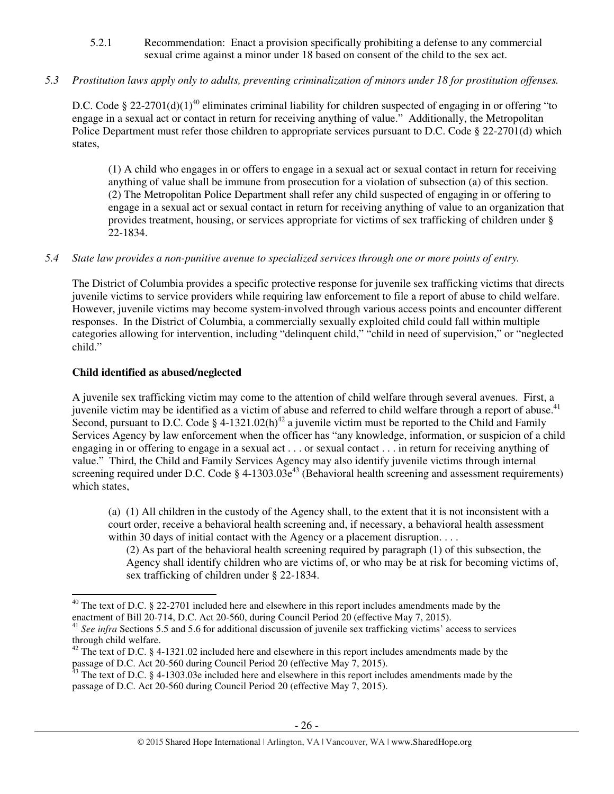5.2.1 Recommendation: Enact a provision specifically prohibiting a defense to any commercial sexual crime against a minor under 18 based on consent of the child to the sex act.

# *5.3 Prostitution laws apply only to adults, preventing criminalization of minors under 18 for prostitution offenses.*

D.C. Code § 22-2701(d)(1)<sup>40</sup> eliminates criminal liability for children suspected of engaging in or offering "to engage in a sexual act or contact in return for receiving anything of value." Additionally, the Metropolitan Police Department must refer those children to appropriate services pursuant to D.C. Code § 22-2701(d) which states,

(1) A child who engages in or offers to engage in a sexual act or sexual contact in return for receiving anything of value shall be immune from prosecution for a violation of subsection (a) of this section. (2) The Metropolitan Police Department shall refer any child suspected of engaging in or offering to engage in a sexual act or sexual contact in return for receiving anything of value to an organization that provides treatment, housing, or services appropriate for victims of sex trafficking of children under § 22-1834.

## *5.4 State law provides a non-punitive avenue to specialized services through one or more points of entry.*

The District of Columbia provides a specific protective response for juvenile sex trafficking victims that directs juvenile victims to service providers while requiring law enforcement to file a report of abuse to child welfare. However, juvenile victims may become system-involved through various access points and encounter different responses. In the District of Columbia, a commercially sexually exploited child could fall within multiple categories allowing for intervention, including "delinquent child," "child in need of supervision," or "neglected child."

# **Child identified as abused/neglected**

l

A juvenile sex trafficking victim may come to the attention of child welfare through several avenues. First, a juvenile victim may be identified as a victim of abuse and referred to child welfare through a report of abuse.<sup>41</sup> Second, pursuant to D.C. Code § 4-1321.02(h)<sup>42</sup> a juvenile victim must be reported to the Child and Family Services Agency by law enforcement when the officer has "any knowledge, information, or suspicion of a child engaging in or offering to engage in a sexual act . . . or sexual contact . . . in return for receiving anything of value." Third, the Child and Family Services Agency may also identify juvenile victims through internal screening required under D.C. Code  $\S$  4-1303.03 $e^{43}$  (Behavioral health screening and assessment requirements) which states,

(a) (1) All children in the custody of the Agency shall, to the extent that it is not inconsistent with a court order, receive a behavioral health screening and, if necessary, a behavioral health assessment within 30 days of initial contact with the Agency or a placement disruption. . . .

(2) As part of the behavioral health screening required by paragraph (1) of this subsection, the Agency shall identify children who are victims of, or who may be at risk for becoming victims of, sex trafficking of children under § 22-1834.

 $40$  The text of D.C. § 22-2701 included here and elsewhere in this report includes amendments made by the enactment of Bill 20-714, D.C. Act 20-560, during Council Period 20 (effective May 7, 2015).

<sup>&</sup>lt;sup>41</sup> See infra Sections 5.5 and 5.6 for additional discussion of juvenile sex trafficking victims' access to services through child welfare.

 $42$  The text of D.C. § 4-1321.02 included here and elsewhere in this report includes amendments made by the passage of D.C. Act 20-560 during Council Period 20 (effective May 7, 2015).

 $43$  The text of D.C. § 4-1303.03e included here and elsewhere in this report includes amendments made by the passage of D.C. Act 20-560 during Council Period 20 (effective May 7, 2015).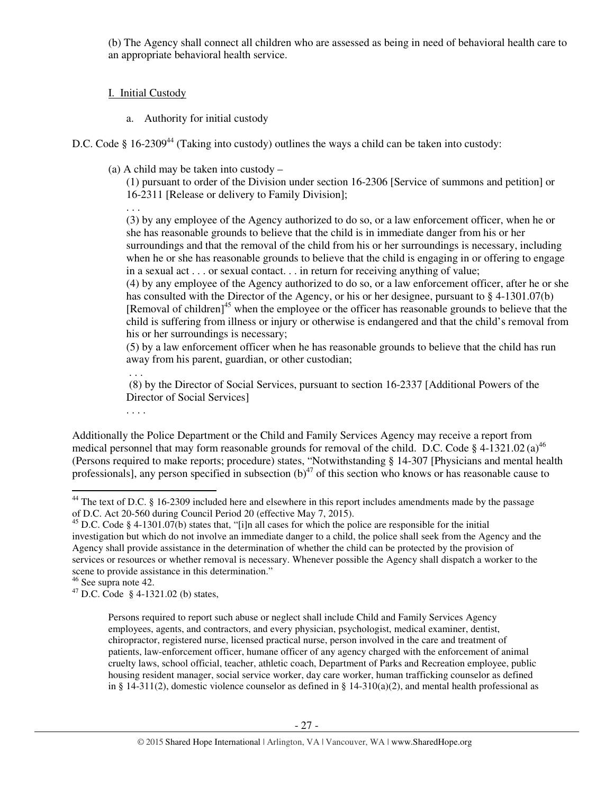(b) The Agency shall connect all children who are assessed as being in need of behavioral health care to an appropriate behavioral health service.

# I. Initial Custody

a. Authority for initial custody

D.C. Code  $\S$  16-2309<sup>44</sup> (Taking into custody) outlines the ways a child can be taken into custody:

(a) A child may be taken into custody –

(1) pursuant to order of the Division under section 16-2306 [Service of summons and petition] or 16-2311 [Release or delivery to Family Division];

. . . (3) by any employee of the Agency authorized to do so, or a law enforcement officer, when he or she has reasonable grounds to believe that the child is in immediate danger from his or her surroundings and that the removal of the child from his or her surroundings is necessary, including when he or she has reasonable grounds to believe that the child is engaging in or offering to engage in a sexual act . . . or sexual contact. . . in return for receiving anything of value;

(4) by any employee of the Agency authorized to do so, or a law enforcement officer, after he or she has consulted with the Director of the Agency, or his or her designee, pursuant to § 4-1301.07(b) [Removal of children]<sup>45</sup> when the employee or the officer has reasonable grounds to believe that the child is suffering from illness or injury or otherwise is endangered and that the child's removal from his or her surroundings is necessary;

(5) by a law enforcement officer when he has reasonable grounds to believe that the child has run away from his parent, guardian, or other custodian;

 . . . (8) by the Director of Social Services, pursuant to section 16-2337 [Additional Powers of the Director of Social Services]

Additionally the Police Department or the Child and Family Services Agency may receive a report from medical personnel that may form reasonable grounds for removal of the child. D.C. Code § 4-1321.02 (a)<sup>46</sup> (Persons required to make reports; procedure) states, "Notwithstanding § 14-307 [Physicians and mental health professionals], any person specified in subsection  $(b)^{47}$  of this section who knows or has reasonable cause to

<sup>46</sup> See supra note 42.

 $\overline{a}$ 

. . . .

<sup>&</sup>lt;sup>44</sup> The text of D.C. § 16-2309 included here and elsewhere in this report includes amendments made by the passage of D.C. Act 20-560 during Council Period 20 (effective May 7, 2015).

 $^{45}$  D.C. Code § 4-1301.07(b) states that, "[i]n all cases for which the police are responsible for the initial investigation but which do not involve an immediate danger to a child, the police shall seek from the Agency and the Agency shall provide assistance in the determination of whether the child can be protected by the provision of services or resources or whether removal is necessary. Whenever possible the Agency shall dispatch a worker to the scene to provide assistance in this determination."

<sup>47</sup> D.C. Code § 4-1321.02 (b) states,

Persons required to report such abuse or neglect shall include Child and Family Services Agency employees, agents, and contractors, and every physician, psychologist, medical examiner, dentist, chiropractor, registered nurse, licensed practical nurse, person involved in the care and treatment of patients, law-enforcement officer, humane officer of any agency charged with the enforcement of animal cruelty laws, school official, teacher, athletic coach, Department of Parks and Recreation employee, public housing resident manager, social service worker, day care worker, human trafficking counselor as defined in § 14-311(2), domestic violence counselor as defined in § 14-310(a)(2), and mental health professional as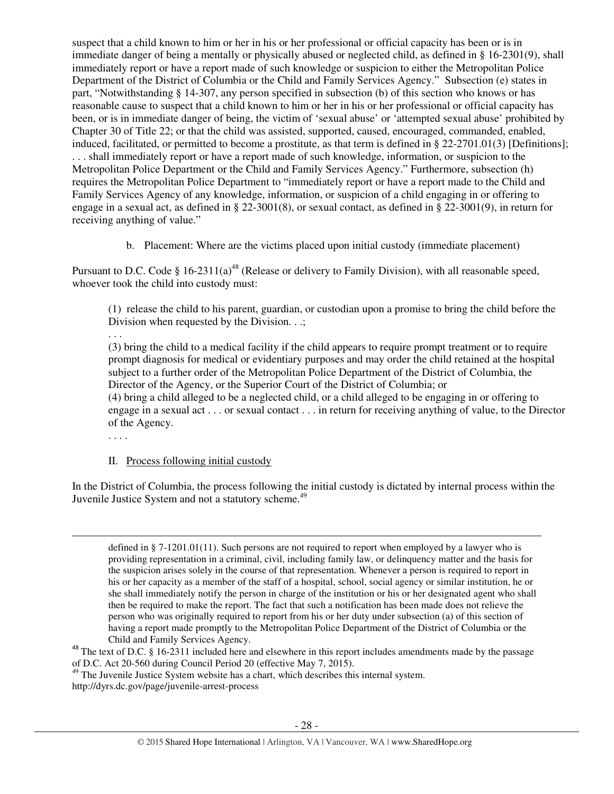suspect that a child known to him or her in his or her professional or official capacity has been or is in immediate danger of being a mentally or physically abused or neglected child, as defined in § 16-2301(9), shall immediately report or have a report made of such knowledge or suspicion to either the Metropolitan Police Department of the District of Columbia or the Child and Family Services Agency." Subsection (e) states in part, "Notwithstanding § 14-307, any person specified in subsection (b) of this section who knows or has reasonable cause to suspect that a child known to him or her in his or her professional or official capacity has been, or is in immediate danger of being, the victim of 'sexual abuse' or 'attempted sexual abuse' prohibited by Chapter 30 of Title 22; or that the child was assisted, supported, caused, encouraged, commanded, enabled, induced, facilitated, or permitted to become a prostitute, as that term is defined in § 22-2701.01(3) [Definitions]; . . . shall immediately report or have a report made of such knowledge, information, or suspicion to the Metropolitan Police Department or the Child and Family Services Agency." Furthermore, subsection (h) requires the Metropolitan Police Department to "immediately report or have a report made to the Child and Family Services Agency of any knowledge, information, or suspicion of a child engaging in or offering to engage in a sexual act, as defined in § 22-3001(8), or sexual contact, as defined in § 22-3001(9), in return for receiving anything of value."

b. Placement: Where are the victims placed upon initial custody (immediate placement)

Pursuant to D.C. Code § 16-2311(a)<sup>48</sup> (Release or delivery to Family Division), with all reasonable speed, whoever took the child into custody must:

(1) release the child to his parent, guardian, or custodian upon a promise to bring the child before the Division when requested by the Division. . .;

. . .

(3) bring the child to a medical facility if the child appears to require prompt treatment or to require prompt diagnosis for medical or evidentiary purposes and may order the child retained at the hospital subject to a further order of the Metropolitan Police Department of the District of Columbia, the Director of the Agency, or the Superior Court of the District of Columbia; or (4) bring a child alleged to be a neglected child, or a child alleged to be engaging in or offering to engage in a sexual act . . . or sexual contact . . . in return for receiving anything of value, to the Director of the Agency.

. . . .

 $\overline{a}$ 

## II. Process following initial custody

In the District of Columbia, the process following the initial custody is dictated by internal process within the Juvenile Justice System and not a statutory scheme.<sup>49</sup>

http://dyrs.dc.gov/page/juvenile-arrest-process

defined in § 7-1201.01(11). Such persons are not required to report when employed by a lawyer who is providing representation in a criminal, civil, including family law, or delinquency matter and the basis for the suspicion arises solely in the course of that representation. Whenever a person is required to report in his or her capacity as a member of the staff of a hospital, school, social agency or similar institution, he or she shall immediately notify the person in charge of the institution or his or her designated agent who shall then be required to make the report. The fact that such a notification has been made does not relieve the person who was originally required to report from his or her duty under subsection (a) of this section of having a report made promptly to the Metropolitan Police Department of the District of Columbia or the Child and Family Services Agency.

<sup>&</sup>lt;sup>48</sup> The text of D.C. § 16-2311 included here and elsewhere in this report includes amendments made by the passage of D.C. Act 20-560 during Council Period 20 (effective May 7, 2015).

<sup>&</sup>lt;sup>49</sup> The Juvenile Justice System website has a chart, which describes this internal system.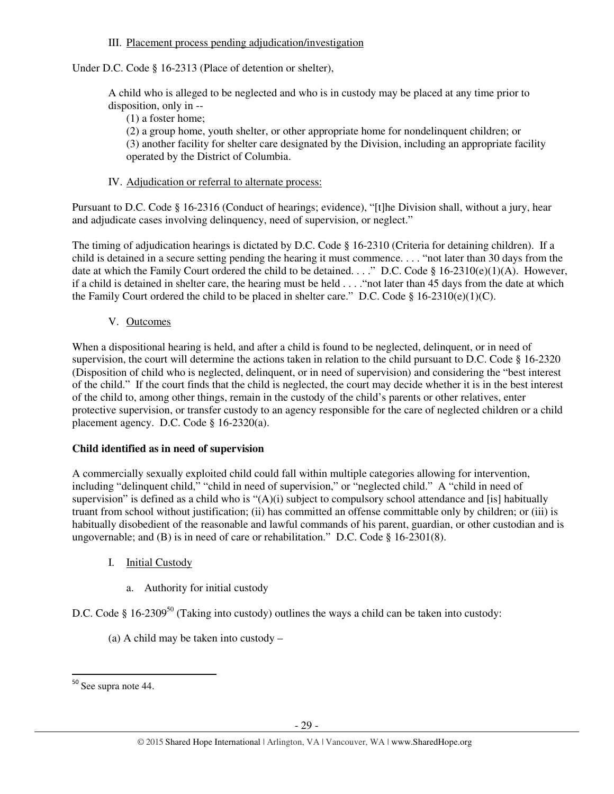#### III. Placement process pending adjudication/investigation

Under D.C. Code § 16-2313 (Place of detention or shelter),

A child who is alleged to be neglected and who is in custody may be placed at any time prior to disposition, only in --

(1) a foster home;

(2) a group home, youth shelter, or other appropriate home for nondelinquent children; or (3) another facility for shelter care designated by the Division, including an appropriate facility operated by the District of Columbia.

#### IV. Adjudication or referral to alternate process:

Pursuant to D.C. Code § 16-2316 (Conduct of hearings; evidence), "[t]he Division shall, without a jury, hear and adjudicate cases involving delinquency, need of supervision, or neglect."

The timing of adjudication hearings is dictated by D.C. Code § 16-2310 (Criteria for detaining children). If a child is detained in a secure setting pending the hearing it must commence. . . . "not later than 30 days from the date at which the Family Court ordered the child to be detained. . . ." D.C. Code § 16-2310(e)(1)(A). However, if a child is detained in shelter care, the hearing must be held . . . ."not later than 45 days from the date at which the Family Court ordered the child to be placed in shelter care." D.C. Code § 16-2310(e)(1)(C).

V. Outcomes

When a dispositional hearing is held, and after a child is found to be neglected, delinquent, or in need of supervision, the court will determine the actions taken in relation to the child pursuant to D.C. Code § 16-2320 (Disposition of child who is neglected, delinquent, or in need of supervision) and considering the "best interest of the child." If the court finds that the child is neglected, the court may decide whether it is in the best interest of the child to, among other things, remain in the custody of the child's parents or other relatives, enter protective supervision, or transfer custody to an agency responsible for the care of neglected children or a child placement agency. D.C. Code § 16-2320(a).

## **Child identified as in need of supervision**

A commercially sexually exploited child could fall within multiple categories allowing for intervention, including "delinquent child," "child in need of supervision," or "neglected child." A "child in need of supervision" is defined as a child who is "(A)(i) subject to compulsory school attendance and [is] habitually truant from school without justification; (ii) has committed an offense committable only by children; or (iii) is habitually disobedient of the reasonable and lawful commands of his parent, guardian, or other custodian and is ungovernable; and (B) is in need of care or rehabilitation." D.C. Code § 16-2301(8).

- I. Initial Custody
	- a. Authority for initial custody

D.C. Code § 16-2309<sup>50</sup> (Taking into custody) outlines the ways a child can be taken into custody:

(a) A child may be taken into custody –

l

<sup>50</sup> See supra note 44.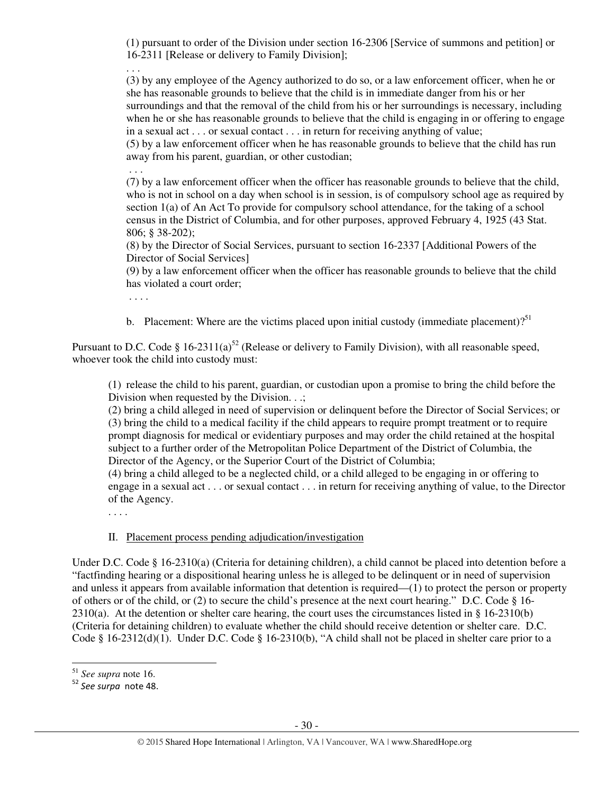(1) pursuant to order of the Division under section 16-2306 [Service of summons and petition] or 16-2311 [Release or delivery to Family Division];

. . . (3) by any employee of the Agency authorized to do so, or a law enforcement officer, when he or she has reasonable grounds to believe that the child is in immediate danger from his or her surroundings and that the removal of the child from his or her surroundings is necessary, including when he or she has reasonable grounds to believe that the child is engaging in or offering to engage in a sexual act . . . or sexual contact . . . in return for receiving anything of value;

(5) by a law enforcement officer when he has reasonable grounds to believe that the child has run away from his parent, guardian, or other custodian;

 . . . (7) by a law enforcement officer when the officer has reasonable grounds to believe that the child, who is not in school on a day when school is in session, is of compulsory school age as required by section 1(a) of An Act To provide for compulsory school attendance, for the taking of a school census in the District of Columbia, and for other purposes, approved February 4, 1925 (43 Stat.

806; § 38-202); (8) by the Director of Social Services, pursuant to section 16-2337 [Additional Powers of the Director of Social Services]

(9) by a law enforcement officer when the officer has reasonable grounds to believe that the child has violated a court order;

. . . .

b. Placement: Where are the victims placed upon initial custody (immediate placement)?<sup>51</sup>

Pursuant to D.C. Code § 16-2311(a)<sup>52</sup> (Release or delivery to Family Division), with all reasonable speed, whoever took the child into custody must:

(1) release the child to his parent, guardian, or custodian upon a promise to bring the child before the Division when requested by the Division. . .;

(2) bring a child alleged in need of supervision or delinquent before the Director of Social Services; or (3) bring the child to a medical facility if the child appears to require prompt treatment or to require prompt diagnosis for medical or evidentiary purposes and may order the child retained at the hospital subject to a further order of the Metropolitan Police Department of the District of Columbia, the Director of the Agency, or the Superior Court of the District of Columbia;

(4) bring a child alleged to be a neglected child, or a child alleged to be engaging in or offering to engage in a sexual act . . . or sexual contact . . . in return for receiving anything of value, to the Director of the Agency.

. . . .

## II. Placement process pending adjudication/investigation

Under D.C. Code § 16-2310(a) (Criteria for detaining children), a child cannot be placed into detention before a "factfinding hearing or a dispositional hearing unless he is alleged to be delinquent or in need of supervision and unless it appears from available information that detention is required—(1) to protect the person or property of others or of the child, or (2) to secure the child's presence at the next court hearing." D.C. Code § 16-  $2310(a)$ . At the detention or shelter care hearing, the court uses the circumstances listed in § 16-2310(b) (Criteria for detaining children) to evaluate whether the child should receive detention or shelter care. D.C. Code § 16-2312(d)(1). Under D.C. Code § 16-2310(b), "A child shall not be placed in shelter care prior to a

l

<sup>51</sup> *See supra* note 16.

<sup>&</sup>lt;sup>52</sup> See surpa note 48.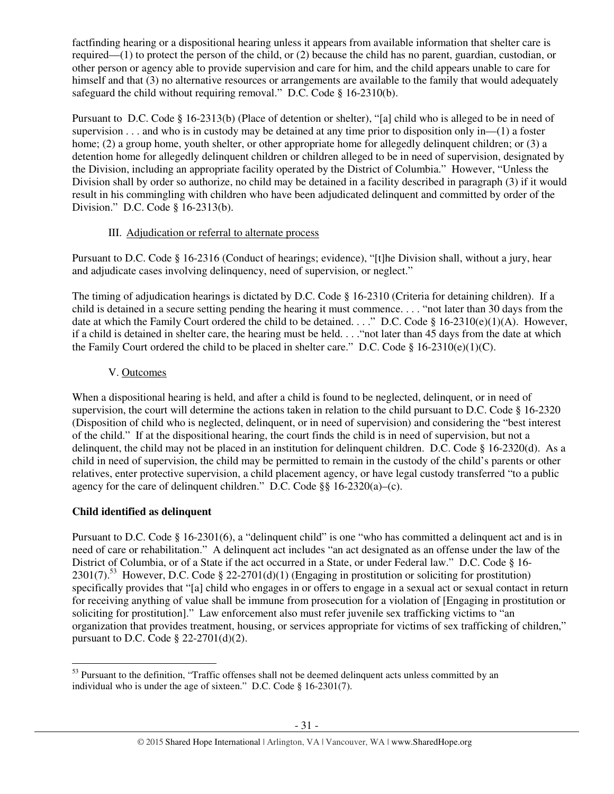factfinding hearing or a dispositional hearing unless it appears from available information that shelter care is required—(1) to protect the person of the child, or (2) because the child has no parent, guardian, custodian, or other person or agency able to provide supervision and care for him, and the child appears unable to care for himself and that (3) no alternative resources or arrangements are available to the family that would adequately safeguard the child without requiring removal." D.C. Code § 16-2310(b).

Pursuant to D.C. Code § 16-2313(b) (Place of detention or shelter), "[a] child who is alleged to be in need of supervision . . . and who is in custody may be detained at any time prior to disposition only in—(1) a foster home; (2) a group home, youth shelter, or other appropriate home for allegedly delinquent children; or (3) a detention home for allegedly delinquent children or children alleged to be in need of supervision, designated by the Division, including an appropriate facility operated by the District of Columbia." However, "Unless the Division shall by order so authorize, no child may be detained in a facility described in paragraph (3) if it would result in his commingling with children who have been adjudicated delinquent and committed by order of the Division." D.C. Code § 16-2313(b).

# III. Adjudication or referral to alternate process

Pursuant to D.C. Code § 16-2316 (Conduct of hearings; evidence), "[t]he Division shall, without a jury, hear and adjudicate cases involving delinquency, need of supervision, or neglect."

The timing of adjudication hearings is dictated by D.C. Code § 16-2310 (Criteria for detaining children). If a child is detained in a secure setting pending the hearing it must commence. . . . "not later than 30 days from the date at which the Family Court ordered the child to be detained. . . ." D.C. Code § 16-2310(e)(1)(A). However, if a child is detained in shelter care, the hearing must be held. . . ."not later than 45 days from the date at which the Family Court ordered the child to be placed in shelter care." D.C. Code §  $16-2310(e)(1)(C)$ .

# V. Outcomes

When a dispositional hearing is held, and after a child is found to be neglected, delinquent, or in need of supervision, the court will determine the actions taken in relation to the child pursuant to D.C. Code § 16-2320 (Disposition of child who is neglected, delinquent, or in need of supervision) and considering the "best interest of the child." If at the dispositional hearing, the court finds the child is in need of supervision, but not a delinquent, the child may not be placed in an institution for delinquent children. D.C. Code § 16-2320(d). As a child in need of supervision, the child may be permitted to remain in the custody of the child's parents or other relatives, enter protective supervision, a child placement agency, or have legal custody transferred "to a public agency for the care of delinquent children." D.C. Code §§ 16-2320(a)–(c).

# **Child identified as delinquent**

l

Pursuant to D.C. Code § 16-2301(6), a "delinquent child" is one "who has committed a delinquent act and is in need of care or rehabilitation." A delinquent act includes "an act designated as an offense under the law of the District of Columbia, or of a State if the act occurred in a State, or under Federal law." D.C. Code § 16- 2301(7).<sup>53</sup> However, D.C. Code § 22-2701(d)(1) (Engaging in prostitution or soliciting for prostitution) specifically provides that "[a] child who engages in or offers to engage in a sexual act or sexual contact in return for receiving anything of value shall be immune from prosecution for a violation of [Engaging in prostitution or soliciting for prostitution]." Law enforcement also must refer juvenile sex trafficking victims to "an organization that provides treatment, housing, or services appropriate for victims of sex trafficking of children," pursuant to D.C. Code § 22-2701(d)(2).

<sup>&</sup>lt;sup>53</sup> Pursuant to the definition, "Traffic offenses shall not be deemed delinquent acts unless committed by an individual who is under the age of sixteen." D.C. Code § 16-2301(7).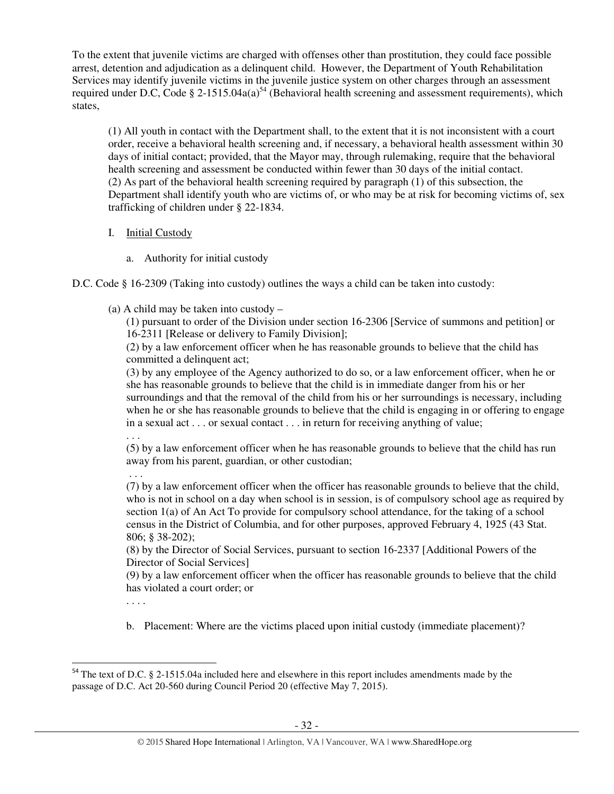To the extent that juvenile victims are charged with offenses other than prostitution, they could face possible arrest, detention and adjudication as a delinquent child. However, the Department of Youth Rehabilitation Services may identify juvenile victims in the juvenile justice system on other charges through an assessment required under D.C, Code § 2-1515.04a(a)<sup>54</sup> (Behavioral health screening and assessment requirements), which states,

(1) All youth in contact with the Department shall, to the extent that it is not inconsistent with a court order, receive a behavioral health screening and, if necessary, a behavioral health assessment within 30 days of initial contact; provided, that the Mayor may, through rulemaking, require that the behavioral health screening and assessment be conducted within fewer than 30 days of the initial contact. (2) As part of the behavioral health screening required by paragraph (1) of this subsection, the Department shall identify youth who are victims of, or who may be at risk for becoming victims of, sex trafficking of children under § 22-1834.

- I. Initial Custody
	- a. Authority for initial custody
- D.C. Code § 16-2309 (Taking into custody) outlines the ways a child can be taken into custody:
	- (a) A child may be taken into custody –

(1) pursuant to order of the Division under section 16-2306 [Service of summons and petition] or 16-2311 [Release or delivery to Family Division];

(2) by a law enforcement officer when he has reasonable grounds to believe that the child has committed a delinquent act;

(3) by any employee of the Agency authorized to do so, or a law enforcement officer, when he or she has reasonable grounds to believe that the child is in immediate danger from his or her surroundings and that the removal of the child from his or her surroundings is necessary, including when he or she has reasonable grounds to believe that the child is engaging in or offering to engage in a sexual act . . . or sexual contact . . . in return for receiving anything of value;

. . .

(5) by a law enforcement officer when he has reasonable grounds to believe that the child has run away from his parent, guardian, or other custodian;

 . . . (7) by a law enforcement officer when the officer has reasonable grounds to believe that the child, who is not in school on a day when school is in session, is of compulsory school age as required by section 1(a) of An Act To provide for compulsory school attendance, for the taking of a school census in the District of Columbia, and for other purposes, approved February 4, 1925 (43 Stat. 806; § 38-202);

(8) by the Director of Social Services, pursuant to section 16-2337 [Additional Powers of the Director of Social Services]

(9) by a law enforcement officer when the officer has reasonable grounds to believe that the child has violated a court order; or

. . . .

l

b. Placement: Where are the victims placed upon initial custody (immediate placement)?

<sup>&</sup>lt;sup>54</sup> The text of D.C. § 2-1515.04a included here and elsewhere in this report includes amendments made by the passage of D.C. Act 20-560 during Council Period 20 (effective May 7, 2015).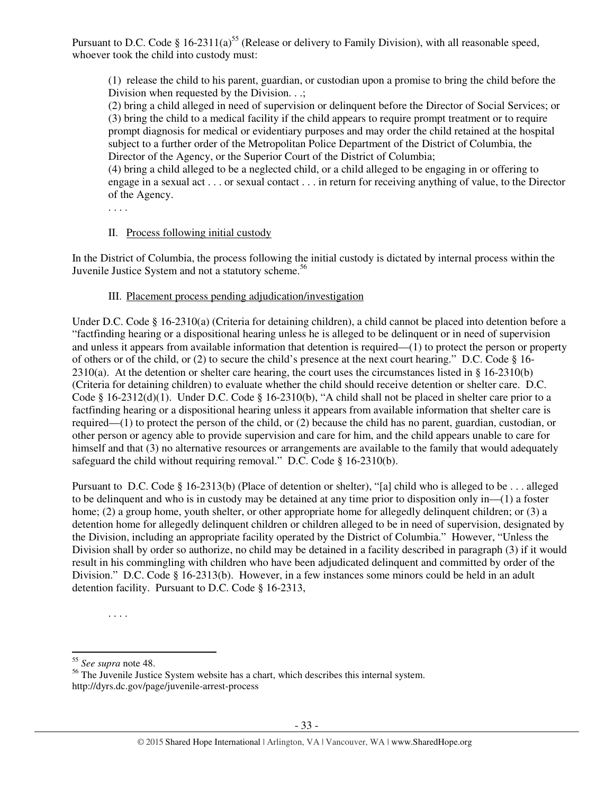Pursuant to D.C. Code § 16-2311(a)<sup>55</sup> (Release or delivery to Family Division), with all reasonable speed, whoever took the child into custody must:

(1) release the child to his parent, guardian, or custodian upon a promise to bring the child before the Division when requested by the Division. . .;

(2) bring a child alleged in need of supervision or delinquent before the Director of Social Services; or (3) bring the child to a medical facility if the child appears to require prompt treatment or to require prompt diagnosis for medical or evidentiary purposes and may order the child retained at the hospital subject to a further order of the Metropolitan Police Department of the District of Columbia, the Director of the Agency, or the Superior Court of the District of Columbia;

(4) bring a child alleged to be a neglected child, or a child alleged to be engaging in or offering to engage in a sexual act . . . or sexual contact . . . in return for receiving anything of value, to the Director of the Agency.

. . . .

## II. Process following initial custody

In the District of Columbia, the process following the initial custody is dictated by internal process within the Juvenile Justice System and not a statutory scheme.<sup>56</sup>

#### III. Placement process pending adjudication/investigation

Under D.C. Code § 16-2310(a) (Criteria for detaining children), a child cannot be placed into detention before a "factfinding hearing or a dispositional hearing unless he is alleged to be delinquent or in need of supervision and unless it appears from available information that detention is required—(1) to protect the person or property of others or of the child, or (2) to secure the child's presence at the next court hearing." D.C. Code § 16-  $2310(a)$ . At the detention or shelter care hearing, the court uses the circumstances listed in § 16-2310(b) (Criteria for detaining children) to evaluate whether the child should receive detention or shelter care. D.C. Code § 16-2312(d)(1). Under D.C. Code § 16-2310(b), "A child shall not be placed in shelter care prior to a factfinding hearing or a dispositional hearing unless it appears from available information that shelter care is required—(1) to protect the person of the child, or (2) because the child has no parent, guardian, custodian, or other person or agency able to provide supervision and care for him, and the child appears unable to care for himself and that (3) no alternative resources or arrangements are available to the family that would adequately safeguard the child without requiring removal." D.C. Code § 16-2310(b).

Pursuant to D.C. Code § 16-2313(b) (Place of detention or shelter), "[a] child who is alleged to be . . . alleged to be delinquent and who is in custody may be detained at any time prior to disposition only in—(1) a foster home; (2) a group home, youth shelter, or other appropriate home for allegedly delinquent children; or (3) a detention home for allegedly delinquent children or children alleged to be in need of supervision, designated by the Division, including an appropriate facility operated by the District of Columbia." However, "Unless the Division shall by order so authorize, no child may be detained in a facility described in paragraph (3) if it would result in his commingling with children who have been adjudicated delinquent and committed by order of the Division." D.C. Code § 16-2313(b). However, in a few instances some minors could be held in an adult detention facility. Pursuant to D.C. Code § 16-2313,

l

<sup>. . . .</sup> 

<sup>55</sup> *See supra* note 48.

<sup>&</sup>lt;sup>56</sup> The Juvenile Justice System website has a chart, which describes this internal system. http://dyrs.dc.gov/page/juvenile-arrest-process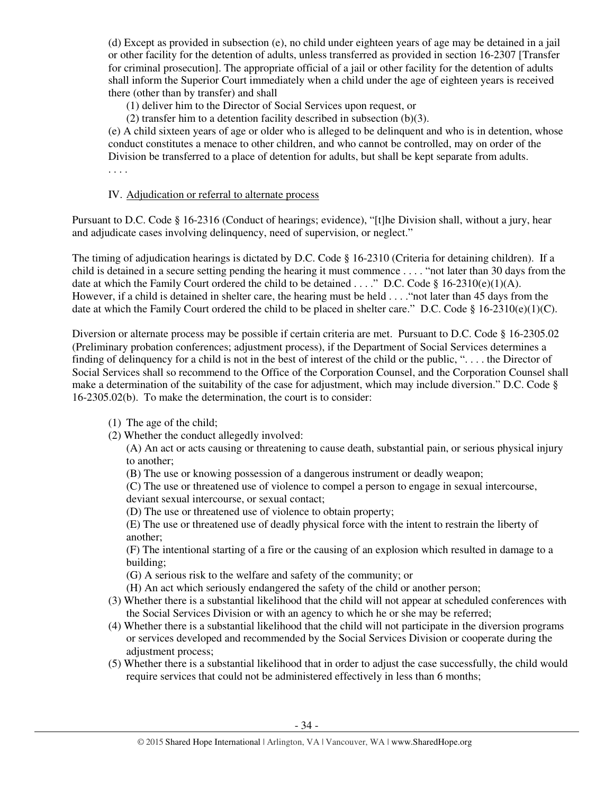(d) Except as provided in subsection (e), no child under eighteen years of age may be detained in a jail or other facility for the detention of adults, unless transferred as provided in section 16-2307 [Transfer for criminal prosecution]. The appropriate official of a jail or other facility for the detention of adults shall inform the Superior Court immediately when a child under the age of eighteen years is received there (other than by transfer) and shall

(1) deliver him to the Director of Social Services upon request, or

(2) transfer him to a detention facility described in subsection (b)(3).

(e) A child sixteen years of age or older who is alleged to be delinquent and who is in detention, whose conduct constitutes a menace to other children, and who cannot be controlled, may on order of the Division be transferred to a place of detention for adults, but shall be kept separate from adults. . . . .

IV. Adjudication or referral to alternate process

Pursuant to D.C. Code § 16-2316 (Conduct of hearings; evidence), "[t]he Division shall, without a jury, hear and adjudicate cases involving delinquency, need of supervision, or neglect."

The timing of adjudication hearings is dictated by D.C. Code § 16-2310 (Criteria for detaining children). If a child is detained in a secure setting pending the hearing it must commence . . . . "not later than 30 days from the date at which the Family Court ordered the child to be detained . . . ." D.C. Code § 16-2310(e)(1)(A). However, if a child is detained in shelter care, the hearing must be held . . . ."not later than 45 days from the date at which the Family Court ordered the child to be placed in shelter care." D.C. Code § 16-2310(e)(1)(C).

Diversion or alternate process may be possible if certain criteria are met. Pursuant to D.C. Code § 16-2305.02 (Preliminary probation conferences; adjustment process), if the Department of Social Services determines a finding of delinquency for a child is not in the best of interest of the child or the public, ". . . . the Director of Social Services shall so recommend to the Office of the Corporation Counsel, and the Corporation Counsel shall make a determination of the suitability of the case for adjustment, which may include diversion." D.C. Code § 16-2305.02(b). To make the determination, the court is to consider:

- (1) The age of the child;
- (2) Whether the conduct allegedly involved:

(A) An act or acts causing or threatening to cause death, substantial pain, or serious physical injury to another;

(B) The use or knowing possession of a dangerous instrument or deadly weapon;

(C) The use or threatened use of violence to compel a person to engage in sexual intercourse, deviant sexual intercourse, or sexual contact;

(D) The use or threatened use of violence to obtain property;

(E) The use or threatened use of deadly physical force with the intent to restrain the liberty of another;

(F) The intentional starting of a fire or the causing of an explosion which resulted in damage to a building;

(G) A serious risk to the welfare and safety of the community; or

- (H) An act which seriously endangered the safety of the child or another person;
- (3) Whether there is a substantial likelihood that the child will not appear at scheduled conferences with the Social Services Division or with an agency to which he or she may be referred;
- (4) Whether there is a substantial likelihood that the child will not participate in the diversion programs or services developed and recommended by the Social Services Division or cooperate during the adjustment process;
- (5) Whether there is a substantial likelihood that in order to adjust the case successfully, the child would require services that could not be administered effectively in less than 6 months;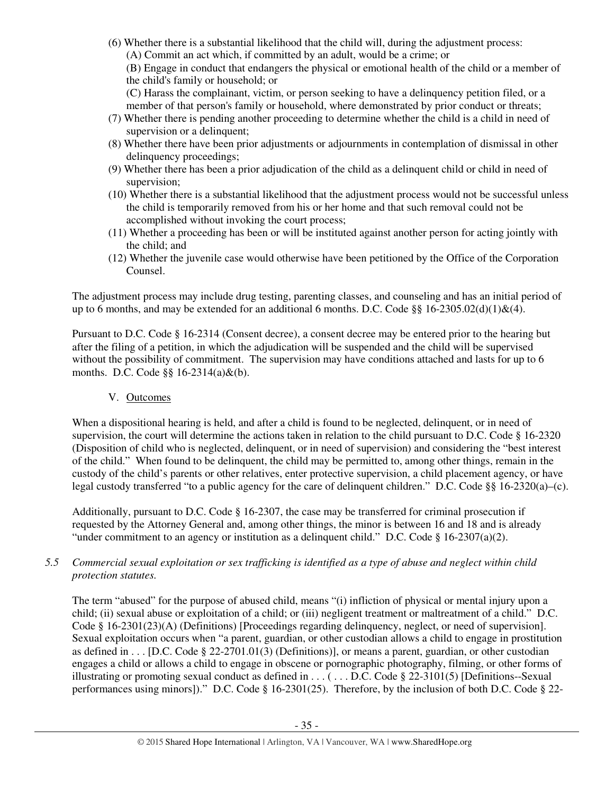(6) Whether there is a substantial likelihood that the child will, during the adjustment process: (A) Commit an act which, if committed by an adult, would be a crime; or

(B) Engage in conduct that endangers the physical or emotional health of the child or a member of the child's family or household; or

(C) Harass the complainant, victim, or person seeking to have a delinquency petition filed, or a member of that person's family or household, where demonstrated by prior conduct or threats;

- (7) Whether there is pending another proceeding to determine whether the child is a child in need of supervision or a delinquent;
- (8) Whether there have been prior adjustments or adjournments in contemplation of dismissal in other delinquency proceedings;
- (9) Whether there has been a prior adjudication of the child as a delinquent child or child in need of supervision;
- (10) Whether there is a substantial likelihood that the adjustment process would not be successful unless the child is temporarily removed from his or her home and that such removal could not be accomplished without invoking the court process;
- (11) Whether a proceeding has been or will be instituted against another person for acting jointly with the child; and
- (12) Whether the juvenile case would otherwise have been petitioned by the Office of the Corporation Counsel.

The adjustment process may include drug testing, parenting classes, and counseling and has an initial period of up to 6 months, and may be extended for an additional 6 months. D.C. Code  $\S\S 16-2305.02(d)(1)\&(4)$ .

Pursuant to D.C. Code § 16-2314 (Consent decree), a consent decree may be entered prior to the hearing but after the filing of a petition, in which the adjudication will be suspended and the child will be supervised without the possibility of commitment. The supervision may have conditions attached and lasts for up to 6 months. D.C. Code §§ 16-2314(a)&(b).

# V. Outcomes

When a dispositional hearing is held, and after a child is found to be neglected, delinquent, or in need of supervision, the court will determine the actions taken in relation to the child pursuant to D.C. Code § 16-2320 (Disposition of child who is neglected, delinquent, or in need of supervision) and considering the "best interest of the child." When found to be delinquent, the child may be permitted to, among other things, remain in the custody of the child's parents or other relatives, enter protective supervision, a child placement agency, or have legal custody transferred "to a public agency for the care of delinquent children." D.C. Code §§ 16-2320(a)–(c).

Additionally, pursuant to D.C. Code § 16-2307, the case may be transferred for criminal prosecution if requested by the Attorney General and, among other things, the minor is between 16 and 18 and is already "under commitment to an agency or institution as a delinquent child." D.C. Code  $\S$  16-2307(a)(2).

## *5.5 Commercial sexual exploitation or sex trafficking is identified as a type of abuse and neglect within child protection statutes.*

The term "abused" for the purpose of abused child, means "(i) infliction of physical or mental injury upon a child; (ii) sexual abuse or exploitation of a child; or (iii) negligent treatment or maltreatment of a child." D.C. Code § 16-2301(23)(A) (Definitions) [Proceedings regarding delinquency, neglect, or need of supervision]. Sexual exploitation occurs when "a parent, guardian, or other custodian allows a child to engage in prostitution as defined in . . . [D.C. Code § 22-2701.01(3) (Definitions)], or means a parent, guardian, or other custodian engages a child or allows a child to engage in obscene or pornographic photography, filming, or other forms of illustrating or promoting sexual conduct as defined in . . . ( . . . D.C. Code  $\S$  22-3101(5) [Definitions--Sexual performances using minors])." D.C. Code § 16-2301(25). Therefore, by the inclusion of both D.C. Code § 22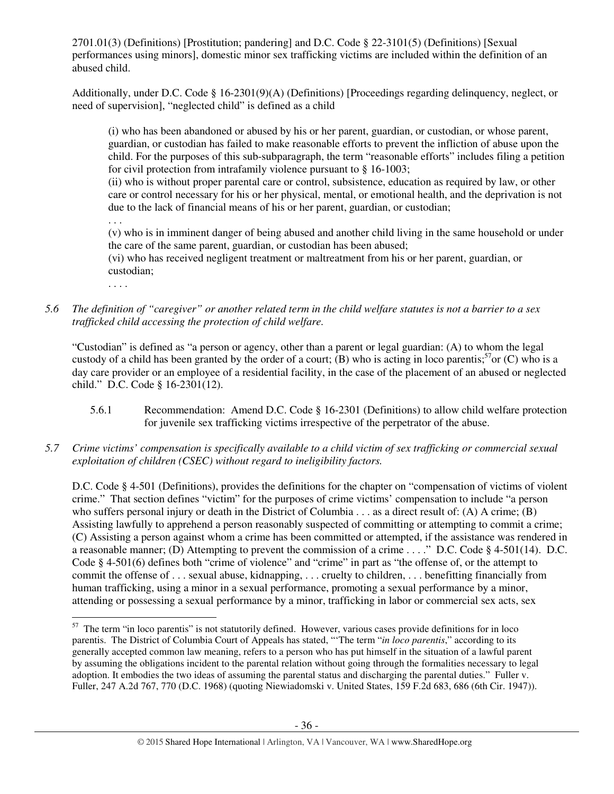2701.01(3) (Definitions) [Prostitution; pandering] and D.C. Code § 22-3101(5) (Definitions) [Sexual performances using minors], domestic minor sex trafficking victims are included within the definition of an abused child.

Additionally, under D.C. Code § 16-2301(9)(A) (Definitions) [Proceedings regarding delinquency, neglect, or need of supervision], "neglected child" is defined as a child

(i) who has been abandoned or abused by his or her parent, guardian, or custodian, or whose parent, guardian, or custodian has failed to make reasonable efforts to prevent the infliction of abuse upon the child. For the purposes of this sub-subparagraph, the term "reasonable efforts" includes filing a petition for civil protection from intrafamily violence pursuant to § 16-1003;

(ii) who is without proper parental care or control, subsistence, education as required by law, or other care or control necessary for his or her physical, mental, or emotional health, and the deprivation is not due to the lack of financial means of his or her parent, guardian, or custodian;

(v) who is in imminent danger of being abused and another child living in the same household or under the care of the same parent, guardian, or custodian has been abused;

(vi) who has received negligent treatment or maltreatment from his or her parent, guardian, or custodian;

. . . .

 $\overline{a}$ 

. . .

*5.6 The definition of "caregiver" or another related term in the child welfare statutes is not a barrier to a sex trafficked child accessing the protection of child welfare.* 

"Custodian" is defined as "a person or agency, other than a parent or legal guardian: (A) to whom the legal custody of a child has been granted by the order of a court; (B) who is acting in loco parentis;<sup>57</sup>or (C) who is a day care provider or an employee of a residential facility, in the case of the placement of an abused or neglected child." D.C. Code § 16-2301(12).

- 5.6.1 Recommendation: Amend D.C. Code § 16-2301 (Definitions) to allow child welfare protection for juvenile sex trafficking victims irrespective of the perpetrator of the abuse.
- *5.7 Crime victims' compensation is specifically available to a child victim of sex trafficking or commercial sexual exploitation of children (CSEC) without regard to ineligibility factors.*

D.C. Code § 4-501 (Definitions), provides the definitions for the chapter on "compensation of victims of violent crime." That section defines "victim" for the purposes of crime victims' compensation to include "a person who suffers personal injury or death in the District of Columbia . . . as a direct result of: (A) A crime; (B) Assisting lawfully to apprehend a person reasonably suspected of committing or attempting to commit a crime; (C) Assisting a person against whom a crime has been committed or attempted, if the assistance was rendered in a reasonable manner; (D) Attempting to prevent the commission of a crime . . . ." D.C. Code § 4-501(14). D.C. Code § 4-501(6) defines both "crime of violence" and "crime" in part as "the offense of, or the attempt to commit the offense of . . . sexual abuse, kidnapping, . . . cruelty to children, . . . benefitting financially from human trafficking, using a minor in a sexual performance, promoting a sexual performance by a minor, attending or possessing a sexual performance by a minor, trafficking in labor or commercial sex acts, sex

<sup>&</sup>lt;sup>57</sup> The term "in loco parentis" is not statutorily defined. However, various cases provide definitions for in loco parentis. The District of Columbia Court of Appeals has stated, "'The term "*in loco parentis*," according to its generally accepted common law meaning, refers to a person who has put himself in the situation of a lawful parent by assuming the obligations incident to the parental relation without going through the formalities necessary to legal adoption. It embodies the two ideas of assuming the parental status and discharging the parental duties." Fuller v. Fuller, 247 A.2d 767, 770 (D.C. 1968) (quoting Niewiadomski v. United States, 159 F.2d 683, 686 (6th Cir. 1947)).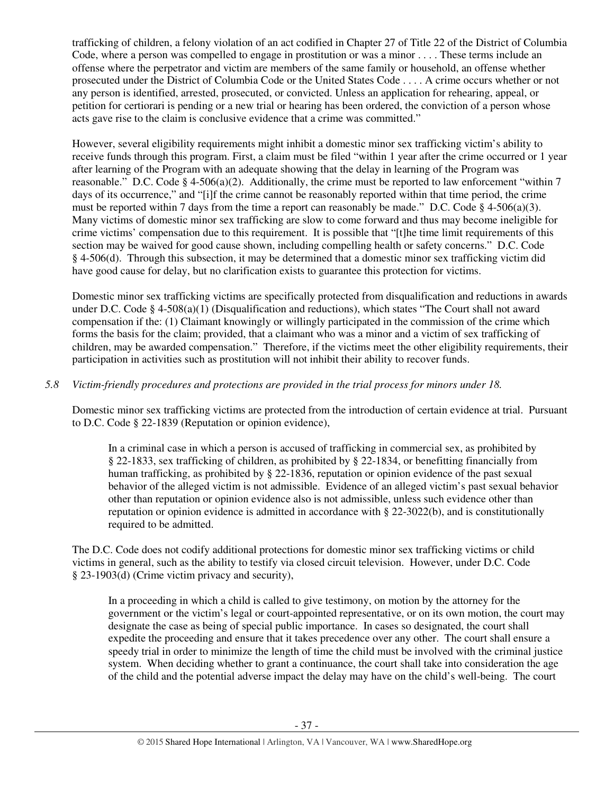trafficking of children, a felony violation of an act codified in Chapter 27 of Title 22 of the District of Columbia Code, where a person was compelled to engage in prostitution or was a minor . . . . These terms include an offense where the perpetrator and victim are members of the same family or household, an offense whether prosecuted under the District of Columbia Code or the United States Code . . . . A crime occurs whether or not any person is identified, arrested, prosecuted, or convicted. Unless an application for rehearing, appeal, or petition for certiorari is pending or a new trial or hearing has been ordered, the conviction of a person whose acts gave rise to the claim is conclusive evidence that a crime was committed."

However, several eligibility requirements might inhibit a domestic minor sex trafficking victim's ability to receive funds through this program. First, a claim must be filed "within 1 year after the crime occurred or 1 year after learning of the Program with an adequate showing that the delay in learning of the Program was reasonable." D.C. Code § 4-506(a)(2). Additionally, the crime must be reported to law enforcement "within 7 days of its occurrence," and "[i]f the crime cannot be reasonably reported within that time period, the crime must be reported within 7 days from the time a report can reasonably be made." D.C. Code § 4-506(a)(3). Many victims of domestic minor sex trafficking are slow to come forward and thus may become ineligible for crime victims' compensation due to this requirement. It is possible that "[t]he time limit requirements of this section may be waived for good cause shown, including compelling health or safety concerns." D.C. Code § 4-506(d). Through this subsection, it may be determined that a domestic minor sex trafficking victim did have good cause for delay, but no clarification exists to guarantee this protection for victims.

Domestic minor sex trafficking victims are specifically protected from disqualification and reductions in awards under D.C. Code § 4-508(a)(1) (Disqualification and reductions), which states "The Court shall not award compensation if the: (1) Claimant knowingly or willingly participated in the commission of the crime which forms the basis for the claim; provided, that a claimant who was a minor and a victim of sex trafficking of children, may be awarded compensation." Therefore, if the victims meet the other eligibility requirements, their participation in activities such as prostitution will not inhibit their ability to recover funds.

## *5.8 Victim-friendly procedures and protections are provided in the trial process for minors under 18.*

Domestic minor sex trafficking victims are protected from the introduction of certain evidence at trial. Pursuant to D.C. Code § 22-1839 (Reputation or opinion evidence),

In a criminal case in which a person is accused of trafficking in commercial sex, as prohibited by § 22-1833, sex trafficking of children, as prohibited by § 22-1834, or benefitting financially from human trafficking, as prohibited by § 22-1836, reputation or opinion evidence of the past sexual behavior of the alleged victim is not admissible. Evidence of an alleged victim's past sexual behavior other than reputation or opinion evidence also is not admissible, unless such evidence other than reputation or opinion evidence is admitted in accordance with § 22-3022(b), and is constitutionally required to be admitted.

The D.C. Code does not codify additional protections for domestic minor sex trafficking victims or child victims in general, such as the ability to testify via closed circuit television. However, under D.C. Code § 23-1903(d) (Crime victim privacy and security),

In a proceeding in which a child is called to give testimony, on motion by the attorney for the government or the victim's legal or court-appointed representative, or on its own motion, the court may designate the case as being of special public importance. In cases so designated, the court shall expedite the proceeding and ensure that it takes precedence over any other. The court shall ensure a speedy trial in order to minimize the length of time the child must be involved with the criminal justice system. When deciding whether to grant a continuance, the court shall take into consideration the age of the child and the potential adverse impact the delay may have on the child's well-being. The court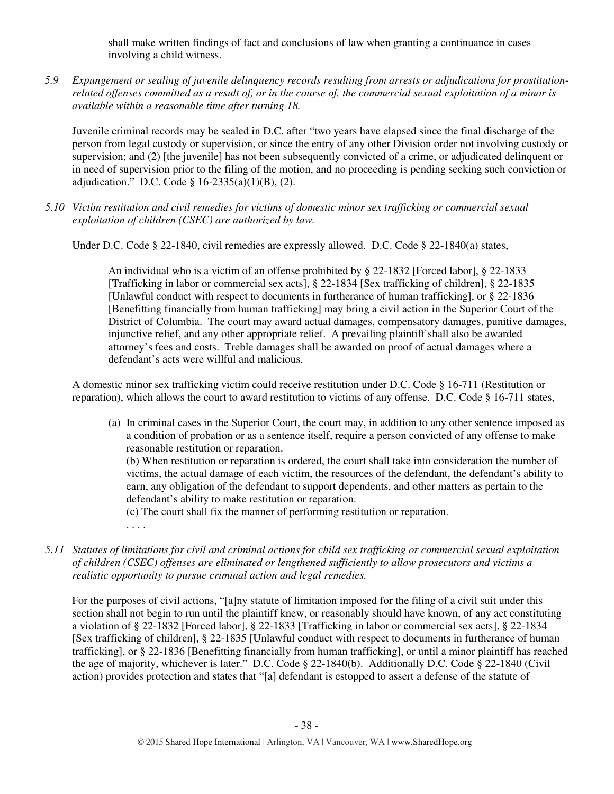shall make written findings of fact and conclusions of law when granting a continuance in cases involving a child witness.

*5.9 Expungement or sealing of juvenile delinquency records resulting from arrests or adjudications for prostitutionrelated offenses committed as a result of, or in the course of, the commercial sexual exploitation of a minor is available within a reasonable time after turning 18.* 

Juvenile criminal records may be sealed in D.C. after "two years have elapsed since the final discharge of the person from legal custody or supervision, or since the entry of any other Division order not involving custody or supervision; and (2) [the juvenile] has not been subsequently convicted of a crime, or adjudicated delinquent or in need of supervision prior to the filing of the motion, and no proceeding is pending seeking such conviction or adjudication." D.C. Code §  $16-2335(a)(1)(B)$ , (2).

*5.10 Victim restitution and civil remedies for victims of domestic minor sex trafficking or commercial sexual exploitation of children (CSEC) are authorized by law.* 

Under D.C. Code § 22-1840, civil remedies are expressly allowed. D.C. Code § 22-1840(a) states,

An individual who is a victim of an offense prohibited by § 22-1832 [Forced labor], § 22-1833 [Trafficking in labor or commercial sex acts], § 22-1834 [Sex trafficking of children], § 22-1835 [Unlawful conduct with respect to documents in furtherance of human trafficking], or § 22-1836 [Benefitting financially from human trafficking] may bring a civil action in the Superior Court of the District of Columbia. The court may award actual damages, compensatory damages, punitive damages, injunctive relief, and any other appropriate relief. A prevailing plaintiff shall also be awarded attorney's fees and costs. Treble damages shall be awarded on proof of actual damages where a defendant's acts were willful and malicious.

A domestic minor sex trafficking victim could receive restitution under D.C. Code § 16-711 (Restitution or reparation), which allows the court to award restitution to victims of any offense. D.C. Code § 16-711 states,

(a) In criminal cases in the Superior Court, the court may, in addition to any other sentence imposed as a condition of probation or as a sentence itself, require a person convicted of any offense to make reasonable restitution or reparation.

(b) When restitution or reparation is ordered, the court shall take into consideration the number of victims, the actual damage of each victim, the resources of the defendant, the defendant's ability to earn, any obligation of the defendant to support dependents, and other matters as pertain to the defendant's ability to make restitution or reparation.

(c) The court shall fix the manner of performing restitution or reparation.

. . . .

*5.11 Statutes of limitations for civil and criminal actions for child sex trafficking or commercial sexual exploitation of children (CSEC) offenses are eliminated or lengthened sufficiently to allow prosecutors and victims a realistic opportunity to pursue criminal action and legal remedies.* 

For the purposes of civil actions, "[a]ny statute of limitation imposed for the filing of a civil suit under this section shall not begin to run until the plaintiff knew, or reasonably should have known, of any act constituting a violation of § 22-1832 [Forced labor], § 22-1833 [Trafficking in labor or commercial sex acts], § 22-1834 [Sex trafficking of children], § 22-1835 [Unlawful conduct with respect to documents in furtherance of human trafficking], or § 22-1836 [Benefitting financially from human trafficking], or until a minor plaintiff has reached the age of majority, whichever is later." D.C. Code § 22-1840(b). Additionally D.C. Code § 22-1840 (Civil action) provides protection and states that "[a] defendant is estopped to assert a defense of the statute of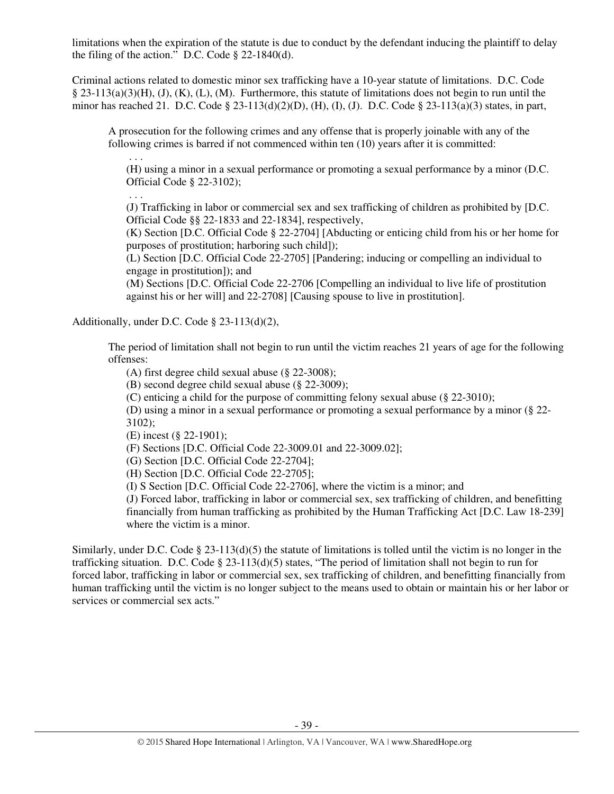limitations when the expiration of the statute is due to conduct by the defendant inducing the plaintiff to delay the filing of the action." D.C. Code  $\S$  22-1840(d).

Criminal actions related to domestic minor sex trafficking have a 10-year statute of limitations. D.C. Code § 23-113(a)(3)(H), (J), (K), (L), (M). Furthermore, this statute of limitations does not begin to run until the minor has reached 21. D.C. Code § 23-113(d)(2)(D), (H), (I), (J). D.C. Code § 23-113(a)(3) states, in part,

A prosecution for the following crimes and any offense that is properly joinable with any of the following crimes is barred if not commenced within ten (10) years after it is committed:

(H) using a minor in a sexual performance or promoting a sexual performance by a minor (D.C. Official Code § 22-3102);

(J) Trafficking in labor or commercial sex and sex trafficking of children as prohibited by [D.C. Official Code §§ 22-1833 and 22-1834], respectively,

(K) Section [D.C. Official Code § 22-2704] [Abducting or enticing child from his or her home for purposes of prostitution; harboring such child]);

(L) Section [D.C. Official Code 22-2705] [Pandering; inducing or compelling an individual to engage in prostitution]); and

(M) Sections [D.C. Official Code 22-2706 [Compelling an individual to live life of prostitution against his or her will] and 22-2708] [Causing spouse to live in prostitution].

Additionally, under D.C. Code § 23-113(d)(2),

. . .

. . .

The period of limitation shall not begin to run until the victim reaches 21 years of age for the following offenses:

(A) first degree child sexual abuse (§ 22-3008);

(B) second degree child sexual abuse (§ 22-3009);

(C) enticing a child for the purpose of committing felony sexual abuse (§ 22-3010);

(D) using a minor in a sexual performance or promoting a sexual performance by a minor (§ 22- 3102);

(E) incest (§ 22-1901);

(F) Sections [D.C. Official Code 22-3009.01 and 22-3009.02];

(G) Section [D.C. Official Code 22-2704];

(H) Section [D.C. Official Code 22-2705];

(I) S Section [D.C. Official Code 22-2706], where the victim is a minor; and

(J) Forced labor, trafficking in labor or commercial sex, sex trafficking of children, and benefitting financially from human trafficking as prohibited by the Human Trafficking Act [D.C. Law 18-239] where the victim is a minor.

Similarly, under D.C. Code  $\S 23-113(d)(5)$  the statute of limitations is tolled until the victim is no longer in the trafficking situation. D.C. Code § 23-113(d)(5) states, "The period of limitation shall not begin to run for forced labor, trafficking in labor or commercial sex, sex trafficking of children, and benefitting financially from human trafficking until the victim is no longer subject to the means used to obtain or maintain his or her labor or services or commercial sex acts."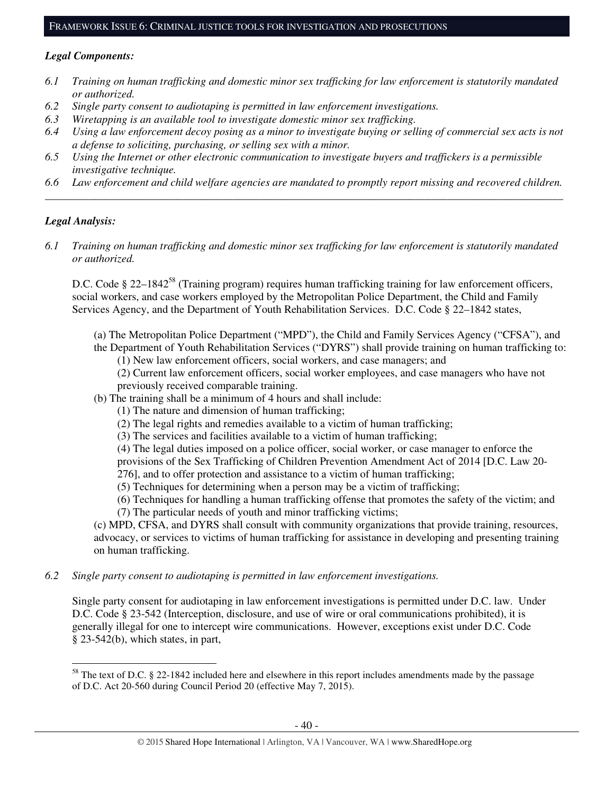#### *Legal Components:*

- *6.1 Training on human trafficking and domestic minor sex trafficking for law enforcement is statutorily mandated or authorized.*
- *6.2 Single party consent to audiotaping is permitted in law enforcement investigations.*
- *6.3 Wiretapping is an available tool to investigate domestic minor sex trafficking.*
- *6.4 Using a law enforcement decoy posing as a minor to investigate buying or selling of commercial sex acts is not a defense to soliciting, purchasing, or selling sex with a minor.*
- *6.5 Using the Internet or other electronic communication to investigate buyers and traffickers is a permissible investigative technique.*
- *6.6 Law enforcement and child welfare agencies are mandated to promptly report missing and recovered children. \_\_\_\_\_\_\_\_\_\_\_\_\_\_\_\_\_\_\_\_\_\_\_\_\_\_\_\_\_\_\_\_\_\_\_\_\_\_\_\_\_\_\_\_\_\_\_\_\_\_\_\_\_\_\_\_\_\_\_\_\_\_\_\_\_\_\_\_\_\_\_\_\_\_\_\_\_\_\_\_\_\_\_\_\_\_\_\_\_\_\_\_\_\_*

#### *Legal Analysis:*

 $\overline{a}$ 

*6.1 Training on human trafficking and domestic minor sex trafficking for law enforcement is statutorily mandated or authorized.*

D.C. Code § 22–1842<sup>58</sup> (Training program) requires human trafficking training for law enforcement officers, social workers, and case workers employed by the Metropolitan Police Department, the Child and Family Services Agency, and the Department of Youth Rehabilitation Services. D.C. Code § 22–1842 states,

- (a) The Metropolitan Police Department ("MPD"), the Child and Family Services Agency ("CFSA"), and
- the Department of Youth Rehabilitation Services ("DYRS") shall provide training on human trafficking to: (1) New law enforcement officers, social workers, and case managers; and
	- (2) Current law enforcement officers, social worker employees, and case managers who have not previously received comparable training.
- (b) The training shall be a minimum of 4 hours and shall include:
	- (1) The nature and dimension of human trafficking;
	- (2) The legal rights and remedies available to a victim of human trafficking;
	- (3) The services and facilities available to a victim of human trafficking;
	- (4) The legal duties imposed on a police officer, social worker, or case manager to enforce the

provisions of the Sex Trafficking of Children Prevention Amendment Act of 2014 [D.C. Law 20-

- 276], and to offer protection and assistance to a victim of human trafficking;
- (5) Techniques for determining when a person may be a victim of trafficking;
- (6) Techniques for handling a human trafficking offense that promotes the safety of the victim; and
- (7) The particular needs of youth and minor trafficking victims;

(c) MPD, CFSA, and DYRS shall consult with community organizations that provide training, resources, advocacy, or services to victims of human trafficking for assistance in developing and presenting training on human trafficking.

*6.2 Single party consent to audiotaping is permitted in law enforcement investigations.* 

Single party consent for audiotaping in law enforcement investigations is permitted under D.C. law. Under D.C. Code § 23-542 (Interception, disclosure, and use of wire or oral communications prohibited), it is generally illegal for one to intercept wire communications. However, exceptions exist under D.C. Code § 23-542(b), which states, in part,

<sup>&</sup>lt;sup>58</sup> The text of D.C. § 22-1842 included here and elsewhere in this report includes amendments made by the passage of D.C. Act 20-560 during Council Period 20 (effective May 7, 2015).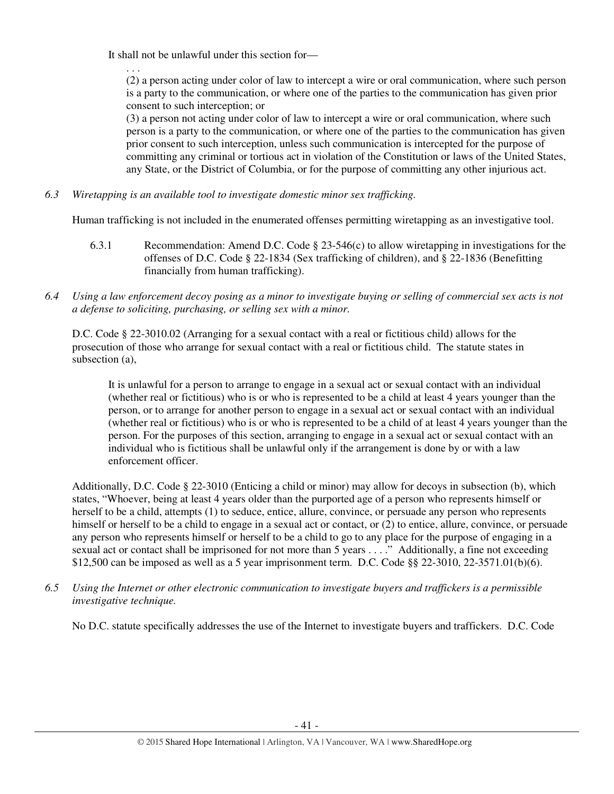It shall not be unlawful under this section for—

. . .

(2) a person acting under color of law to intercept a wire or oral communication, where such person is a party to the communication, or where one of the parties to the communication has given prior consent to such interception; or

(3) a person not acting under color of law to intercept a wire or oral communication, where such person is a party to the communication, or where one of the parties to the communication has given prior consent to such interception, unless such communication is intercepted for the purpose of committing any criminal or tortious act in violation of the Constitution or laws of the United States, any State, or the District of Columbia, or for the purpose of committing any other injurious act.

*6.3 Wiretapping is an available tool to investigate domestic minor sex trafficking.* 

Human trafficking is not included in the enumerated offenses permitting wiretapping as an investigative tool.

- 6.3.1 Recommendation: Amend D.C. Code § 23-546(c) to allow wiretapping in investigations for the offenses of D.C. Code § 22-1834 (Sex trafficking of children), and § 22-1836 (Benefitting financially from human trafficking).
- *6.4 Using a law enforcement decoy posing as a minor to investigate buying or selling of commercial sex acts is not a defense to soliciting, purchasing, or selling sex with a minor.*

D.C. Code § 22-3010.02 (Arranging for a sexual contact with a real or fictitious child) allows for the prosecution of those who arrange for sexual contact with a real or fictitious child. The statute states in subsection (a),

It is unlawful for a person to arrange to engage in a sexual act or sexual contact with an individual (whether real or fictitious) who is or who is represented to be a child at least 4 years younger than the person, or to arrange for another person to engage in a sexual act or sexual contact with an individual (whether real or fictitious) who is or who is represented to be a child of at least 4 years younger than the person. For the purposes of this section, arranging to engage in a sexual act or sexual contact with an individual who is fictitious shall be unlawful only if the arrangement is done by or with a law enforcement officer.

Additionally, D.C. Code § 22-3010 (Enticing a child or minor) may allow for decoys in subsection (b), which states, "Whoever, being at least 4 years older than the purported age of a person who represents himself or herself to be a child, attempts (1) to seduce, entice, allure, convince, or persuade any person who represents himself or herself to be a child to engage in a sexual act or contact, or (2) to entice, allure, convince, or persuade any person who represents himself or herself to be a child to go to any place for the purpose of engaging in a sexual act or contact shall be imprisoned for not more than 5 years . . . ." Additionally, a fine not exceeding \$12,500 can be imposed as well as a 5 year imprisonment term. D.C. Code §§ 22-3010, 22-3571.01(b)(6).

*6.5 Using the Internet or other electronic communication to investigate buyers and traffickers is a permissible investigative technique.* 

No D.C. statute specifically addresses the use of the Internet to investigate buyers and traffickers. D.C. Code